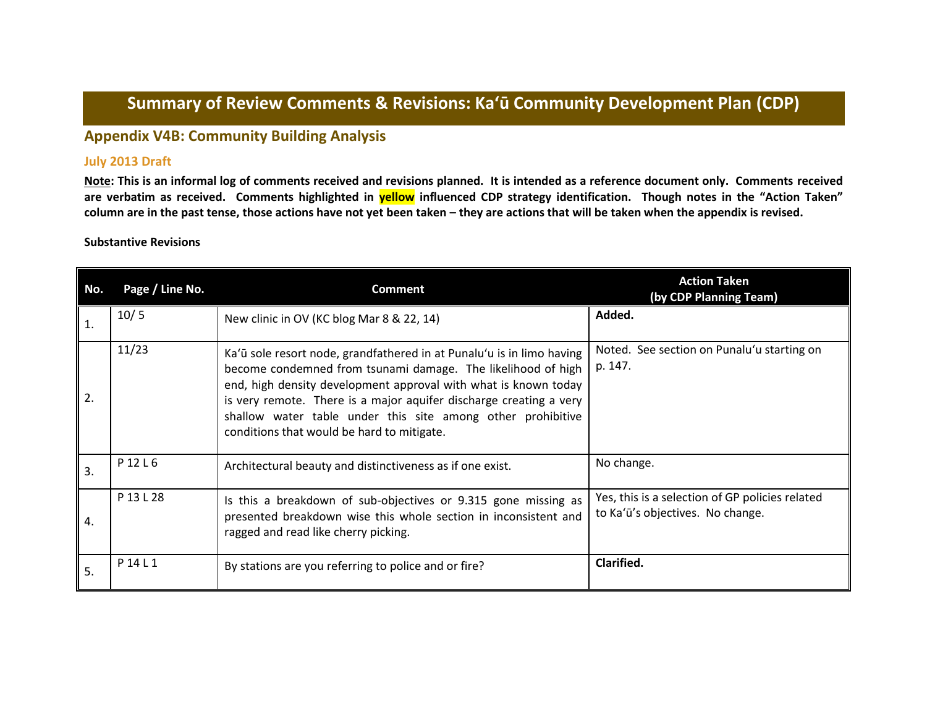# **Summary of Review Comments & Revisions: Ka'ū Community Development Plan (CDP)**

## **Appendix V4B: Community Building Analysis**

#### **July 2013 Draft**

**Note: This is an informal log of comments received and revisions planned. It is intended as a reference document only. Comments received are verbatim as received. Comments highlighted in yellow influenced CDP strategy identification. Though notes in the "Action Taken" column are in the past tense, those actions have not yet been taken – they are actions that will be taken when the appendix is revised.**

#### **Substantive Revisions**

| No. | Page / Line No. | <b>Comment</b>                                                                                                                                                                                                                                                                                                                                                                              | <b>Action Taken</b><br>(by CDP Planning Team)                                       |
|-----|-----------------|---------------------------------------------------------------------------------------------------------------------------------------------------------------------------------------------------------------------------------------------------------------------------------------------------------------------------------------------------------------------------------------------|-------------------------------------------------------------------------------------|
| 1.  | 10/5            | New clinic in OV (KC blog Mar 8 & 22, 14)                                                                                                                                                                                                                                                                                                                                                   | Added.                                                                              |
| 2.  | 11/23           | Ka'ū sole resort node, grandfathered in at Punalu'u is in limo having<br>become condemned from tsunami damage. The likelihood of high<br>end, high density development approval with what is known today<br>is very remote. There is a major aquifer discharge creating a very<br>shallow water table under this site among other prohibitive<br>conditions that would be hard to mitigate. | Noted. See section on Punalu'u starting on<br>p. 147.                               |
| 3.  | P 12 L 6        | Architectural beauty and distinctiveness as if one exist.                                                                                                                                                                                                                                                                                                                                   | No change.                                                                          |
| 4.  | P 13 L 28       | Is this a breakdown of sub-objectives or 9.315 gone missing as<br>presented breakdown wise this whole section in inconsistent and<br>ragged and read like cherry picking.                                                                                                                                                                                                                   | Yes, this is a selection of GP policies related<br>to Ka'ū's objectives. No change. |
| 5.  | P 14 L 1        | By stations are you referring to police and or fire?                                                                                                                                                                                                                                                                                                                                        | Clarified.                                                                          |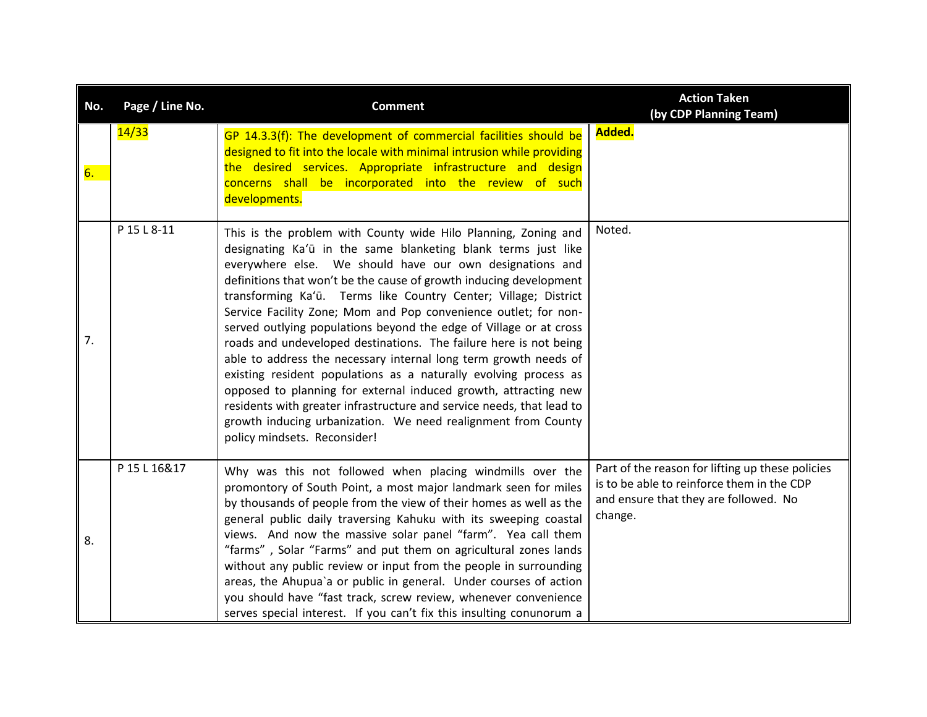| No. | Page / Line No. | <b>Comment</b>                                                                                                                                                                                                                                                                                                                                                                                                                                                                                                                                                                                                                                                                                                                                                                                                                                                                                                                          | <b>Action Taken</b><br>(by CDP Planning Team)                                                                                                      |
|-----|-----------------|-----------------------------------------------------------------------------------------------------------------------------------------------------------------------------------------------------------------------------------------------------------------------------------------------------------------------------------------------------------------------------------------------------------------------------------------------------------------------------------------------------------------------------------------------------------------------------------------------------------------------------------------------------------------------------------------------------------------------------------------------------------------------------------------------------------------------------------------------------------------------------------------------------------------------------------------|----------------------------------------------------------------------------------------------------------------------------------------------------|
| 6.  | 14/33           | GP 14.3.3(f): The development of commercial facilities should be<br>designed to fit into the locale with minimal intrusion while providing<br>the desired services. Appropriate infrastructure and design<br>concerns shall be incorporated into the review of such<br>developments.                                                                                                                                                                                                                                                                                                                                                                                                                                                                                                                                                                                                                                                    | Added.                                                                                                                                             |
| 7.  | P 15 L 8-11     | This is the problem with County wide Hilo Planning, Zoning and<br>designating Ka'ū in the same blanketing blank terms just like<br>everywhere else. We should have our own designations and<br>definitions that won't be the cause of growth inducing development<br>transforming Ka'ū. Terms like Country Center; Village; District<br>Service Facility Zone; Mom and Pop convenience outlet; for non-<br>served outlying populations beyond the edge of Village or at cross<br>roads and undeveloped destinations. The failure here is not being<br>able to address the necessary internal long term growth needs of<br>existing resident populations as a naturally evolving process as<br>opposed to planning for external induced growth, attracting new<br>residents with greater infrastructure and service needs, that lead to<br>growth inducing urbanization. We need realignment from County<br>policy mindsets. Reconsider! | Noted.                                                                                                                                             |
| 8.  | P 15 L 16&17    | Why was this not followed when placing windmills over the<br>promontory of South Point, a most major landmark seen for miles<br>by thousands of people from the view of their homes as well as the<br>general public daily traversing Kahuku with its sweeping coastal<br>views. And now the massive solar panel "farm". Yea call them<br>"farms", Solar "Farms" and put them on agricultural zones lands<br>without any public review or input from the people in surrounding<br>areas, the Ahupua'a or public in general. Under courses of action<br>you should have "fast track, screw review, whenever convenience<br>serves special interest. If you can't fix this insulting conunorum a                                                                                                                                                                                                                                          | Part of the reason for lifting up these policies<br>is to be able to reinforce them in the CDP<br>and ensure that they are followed. No<br>change. |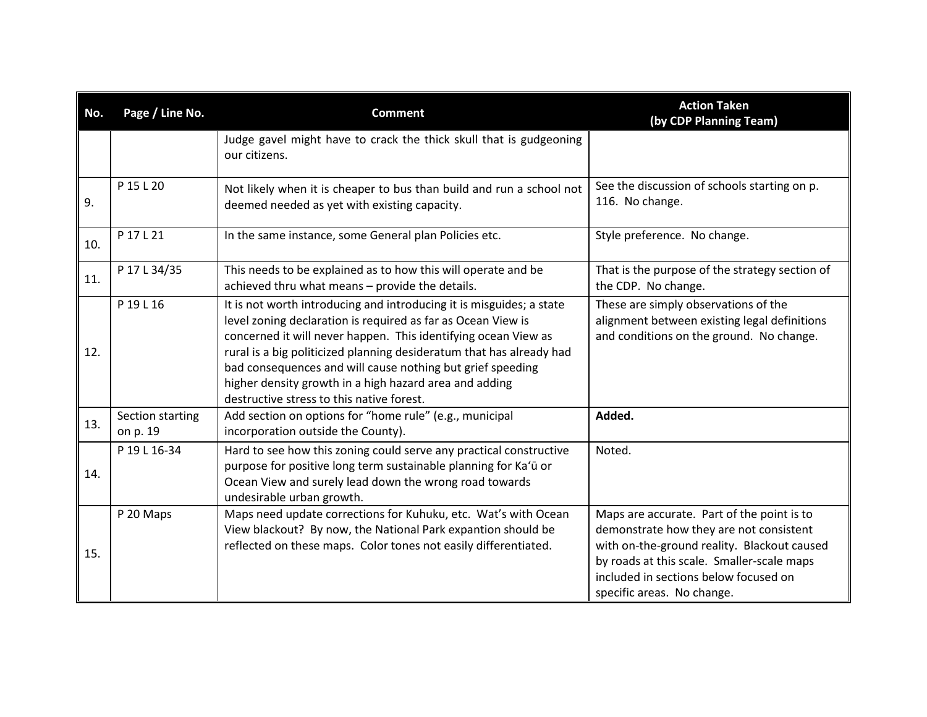| No. | Page / Line No.              | <b>Comment</b>                                                                                                                                                                                                                                                                                                                                                                                                                                      | <b>Action Taken</b><br>(by CDP Planning Team)                                                                                                                                                                                                             |
|-----|------------------------------|-----------------------------------------------------------------------------------------------------------------------------------------------------------------------------------------------------------------------------------------------------------------------------------------------------------------------------------------------------------------------------------------------------------------------------------------------------|-----------------------------------------------------------------------------------------------------------------------------------------------------------------------------------------------------------------------------------------------------------|
|     |                              | Judge gavel might have to crack the thick skull that is gudgeoning<br>our citizens.                                                                                                                                                                                                                                                                                                                                                                 |                                                                                                                                                                                                                                                           |
| 9.  | P 15 L 20                    | Not likely when it is cheaper to bus than build and run a school not<br>deemed needed as yet with existing capacity.                                                                                                                                                                                                                                                                                                                                | See the discussion of schools starting on p.<br>116. No change.                                                                                                                                                                                           |
| 10. | P 17 L 21                    | In the same instance, some General plan Policies etc.                                                                                                                                                                                                                                                                                                                                                                                               | Style preference. No change.                                                                                                                                                                                                                              |
| 11. | P 17 L 34/35                 | This needs to be explained as to how this will operate and be<br>achieved thru what means - provide the details.                                                                                                                                                                                                                                                                                                                                    | That is the purpose of the strategy section of<br>the CDP. No change.                                                                                                                                                                                     |
| 12. | P 19 L 16                    | It is not worth introducing and introducing it is misguides; a state<br>level zoning declaration is required as far as Ocean View is<br>concerned it will never happen. This identifying ocean View as<br>rural is a big politicized planning desideratum that has already had<br>bad consequences and will cause nothing but grief speeding<br>higher density growth in a high hazard area and adding<br>destructive stress to this native forest. | These are simply observations of the<br>alignment between existing legal definitions<br>and conditions on the ground. No change.                                                                                                                          |
| 13. | Section starting<br>on p. 19 | Add section on options for "home rule" (e.g., municipal<br>incorporation outside the County).                                                                                                                                                                                                                                                                                                                                                       | Added.                                                                                                                                                                                                                                                    |
| 14. | P 19 L 16-34                 | Hard to see how this zoning could serve any practical constructive<br>purpose for positive long term sustainable planning for Ka'ū or<br>Ocean View and surely lead down the wrong road towards<br>undesirable urban growth.                                                                                                                                                                                                                        | Noted.                                                                                                                                                                                                                                                    |
| 15. | P 20 Maps                    | Maps need update corrections for Kuhuku, etc. Wat's with Ocean<br>View blackout? By now, the National Park expantion should be<br>reflected on these maps. Color tones not easily differentiated.                                                                                                                                                                                                                                                   | Maps are accurate. Part of the point is to<br>demonstrate how they are not consistent<br>with on-the-ground reality. Blackout caused<br>by roads at this scale. Smaller-scale maps<br>included in sections below focused on<br>specific areas. No change. |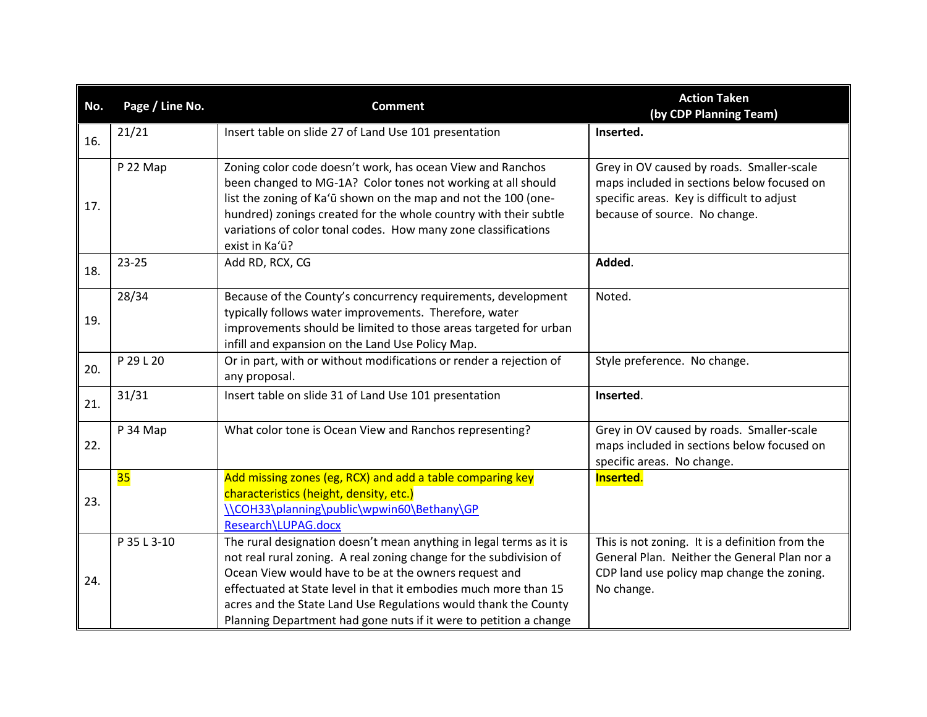| No. | Page / Line No. | <b>Comment</b>                                                                                                                                                                                                                                                                                                                                                                                                 | <b>Action Taken</b><br>(by CDP Planning Team)                                                                                                                          |
|-----|-----------------|----------------------------------------------------------------------------------------------------------------------------------------------------------------------------------------------------------------------------------------------------------------------------------------------------------------------------------------------------------------------------------------------------------------|------------------------------------------------------------------------------------------------------------------------------------------------------------------------|
| 16. | 21/21           | Insert table on slide 27 of Land Use 101 presentation                                                                                                                                                                                                                                                                                                                                                          | Inserted.                                                                                                                                                              |
| 17. | P 22 Map        | Zoning color code doesn't work, has ocean View and Ranchos<br>been changed to MG-1A? Color tones not working at all should<br>list the zoning of Ka'ū shown on the map and not the 100 (one-<br>hundred) zonings created for the whole country with their subtle<br>variations of color tonal codes. How many zone classifications<br>exist in Ka'ū?                                                           | Grey in OV caused by roads. Smaller-scale<br>maps included in sections below focused on<br>specific areas. Key is difficult to adjust<br>because of source. No change. |
| 18. | 23-25           | Add RD, RCX, CG                                                                                                                                                                                                                                                                                                                                                                                                | Added.                                                                                                                                                                 |
| 19. | 28/34           | Because of the County's concurrency requirements, development<br>typically follows water improvements. Therefore, water<br>improvements should be limited to those areas targeted for urban<br>infill and expansion on the Land Use Policy Map.                                                                                                                                                                | Noted.                                                                                                                                                                 |
| 20. | P 29 L 20       | Or in part, with or without modifications or render a rejection of<br>any proposal.                                                                                                                                                                                                                                                                                                                            | Style preference. No change.                                                                                                                                           |
| 21. | 31/31           | Insert table on slide 31 of Land Use 101 presentation                                                                                                                                                                                                                                                                                                                                                          | Inserted.                                                                                                                                                              |
| 22. | P 34 Map        | What color tone is Ocean View and Ranchos representing?                                                                                                                                                                                                                                                                                                                                                        | Grey in OV caused by roads. Smaller-scale<br>maps included in sections below focused on<br>specific areas. No change.                                                  |
| 23. | 35              | Add missing zones (eg, RCX) and add a table comparing key<br>characteristics (height, density, etc.)<br>\\COH33\planning\public\wpwin60\Bethany\GP<br>Research\LUPAG.docx                                                                                                                                                                                                                                      | Inserted.                                                                                                                                                              |
| 24. | P 35 L 3-10     | The rural designation doesn't mean anything in legal terms as it is<br>not real rural zoning. A real zoning change for the subdivision of<br>Ocean View would have to be at the owners request and<br>effectuated at State level in that it embodies much more than 15<br>acres and the State Land Use Regulations would thank the County<br>Planning Department had gone nuts if it were to petition a change | This is not zoning. It is a definition from the<br>General Plan. Neither the General Plan nor a<br>CDP land use policy map change the zoning.<br>No change.            |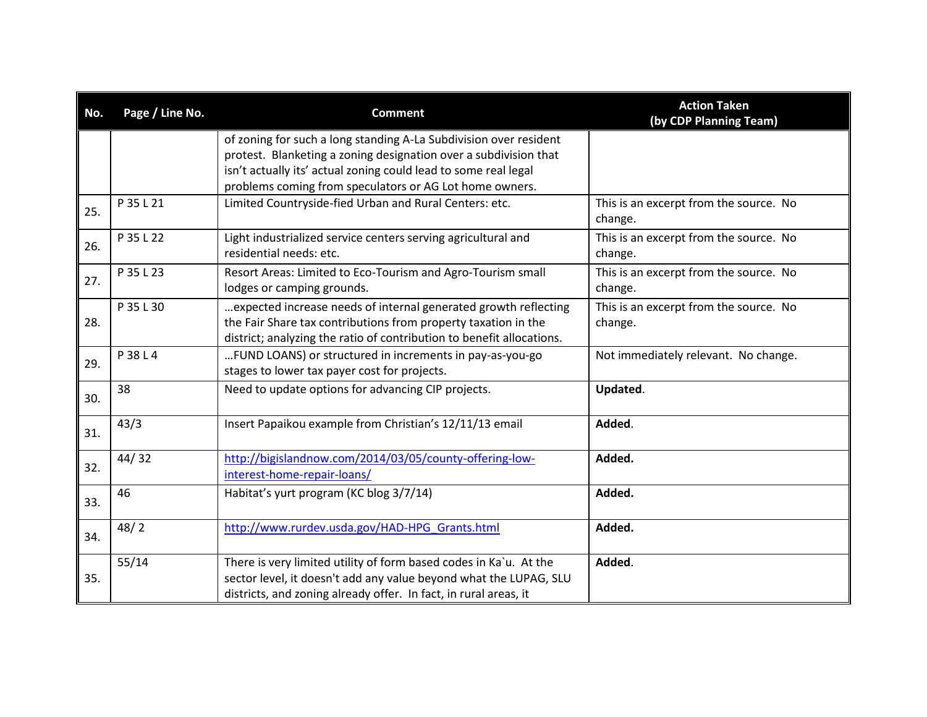| No. | Page / Line No. | <b>Comment</b>                                                                                                                                                                                                                                                      | <b>Action Taken</b><br>(by CDP Planning Team)     |
|-----|-----------------|---------------------------------------------------------------------------------------------------------------------------------------------------------------------------------------------------------------------------------------------------------------------|---------------------------------------------------|
|     |                 | of zoning for such a long standing A-La Subdivision over resident<br>protest. Blanketing a zoning designation over a subdivision that<br>isn't actually its' actual zoning could lead to some real legal<br>problems coming from speculators or AG Lot home owners. |                                                   |
| 25. | P 35 L 21       | Limited Countryside-fied Urban and Rural Centers: etc.                                                                                                                                                                                                              | This is an excerpt from the source. No<br>change. |
| 26. | P 35 L 22       | Light industrialized service centers serving agricultural and<br>residential needs: etc.                                                                                                                                                                            | This is an excerpt from the source. No<br>change. |
| 27. | P 35 L 23       | Resort Areas: Limited to Eco-Tourism and Agro-Tourism small<br>lodges or camping grounds.                                                                                                                                                                           | This is an excerpt from the source. No<br>change. |
| 28. | P 35 L 30       | expected increase needs of internal generated growth reflecting<br>the Fair Share tax contributions from property taxation in the<br>district; analyzing the ratio of contribution to benefit allocations.                                                          | This is an excerpt from the source. No<br>change. |
| 29. | P 38 L 4        | FUND LOANS) or structured in increments in pay-as-you-go<br>stages to lower tax payer cost for projects.                                                                                                                                                            | Not immediately relevant. No change.              |
| 30. | 38              | Need to update options for advancing CIP projects.                                                                                                                                                                                                                  | Updated.                                          |
| 31. | 43/3            | Insert Papaikou example from Christian's 12/11/13 email                                                                                                                                                                                                             | Added.                                            |
| 32. | 44/32           | http://bigislandnow.com/2014/03/05/county-offering-low-<br>interest-home-repair-loans/                                                                                                                                                                              | Added.                                            |
| 33. | 46              | Habitat's yurt program (KC blog 3/7/14)                                                                                                                                                                                                                             | Added.                                            |
| 34. | 48/2            | http://www.rurdev.usda.gov/HAD-HPG Grants.html                                                                                                                                                                                                                      | Added.                                            |
| 35. | 55/14           | There is very limited utility of form based codes in Ka`u. At the<br>sector level, it doesn't add any value beyond what the LUPAG, SLU<br>districts, and zoning already offer. In fact, in rural areas, it                                                          | Added.                                            |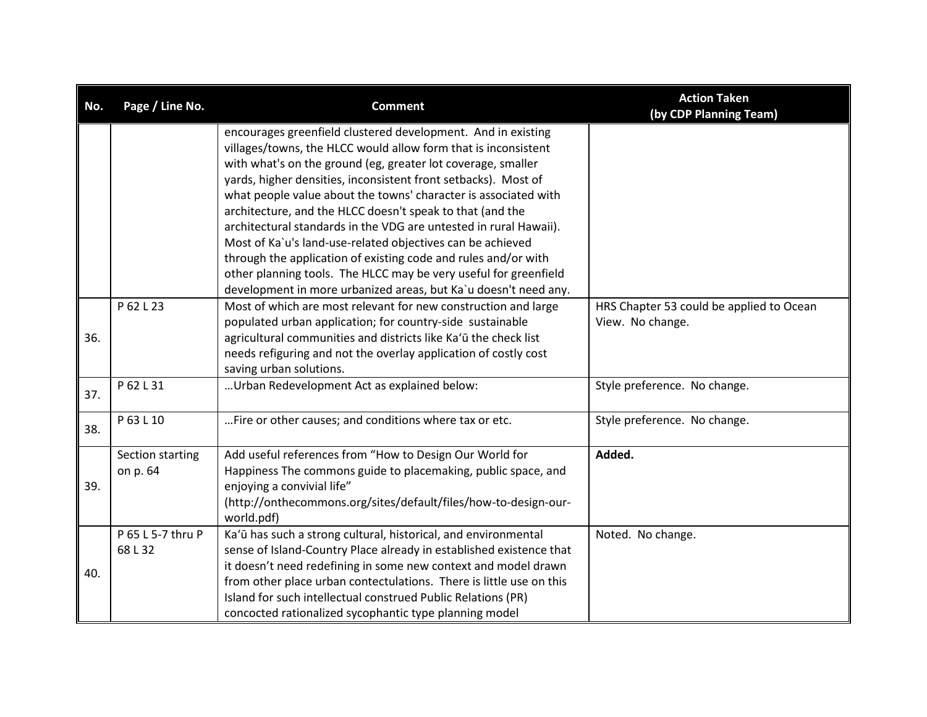| No. | Page / Line No.              | <b>Comment</b>                                                                                                                                                                                                                                                                                                                                                                                                                                                                                                                                                                                        | <b>Action Taken</b><br>(by CDP Planning Team)                |
|-----|------------------------------|-------------------------------------------------------------------------------------------------------------------------------------------------------------------------------------------------------------------------------------------------------------------------------------------------------------------------------------------------------------------------------------------------------------------------------------------------------------------------------------------------------------------------------------------------------------------------------------------------------|--------------------------------------------------------------|
|     |                              | encourages greenfield clustered development. And in existing<br>villages/towns, the HLCC would allow form that is inconsistent<br>with what's on the ground (eg, greater lot coverage, smaller<br>yards, higher densities, inconsistent front setbacks). Most of<br>what people value about the towns' character is associated with<br>architecture, and the HLCC doesn't speak to that (and the<br>architectural standards in the VDG are untested in rural Hawaii).<br>Most of Ka`u's land-use-related objectives can be achieved<br>through the application of existing code and rules and/or with |                                                              |
|     |                              | other planning tools. The HLCC may be very useful for greenfield<br>development in more urbanized areas, but Ka'u doesn't need any.                                                                                                                                                                                                                                                                                                                                                                                                                                                                   |                                                              |
| 36. | P 62 L 23                    | Most of which are most relevant for new construction and large<br>populated urban application; for country-side sustainable<br>agricultural communities and districts like Ka'ū the check list<br>needs refiguring and not the overlay application of costly cost<br>saving urban solutions.                                                                                                                                                                                                                                                                                                          | HRS Chapter 53 could be applied to Ocean<br>View. No change. |
| 37. | P 62 L 31                    | Urban Redevelopment Act as explained below:                                                                                                                                                                                                                                                                                                                                                                                                                                                                                                                                                           | Style preference. No change.                                 |
| 38. | P 63 L 10                    | Fire or other causes; and conditions where tax or etc.                                                                                                                                                                                                                                                                                                                                                                                                                                                                                                                                                | Style preference. No change.                                 |
| 39. | Section starting<br>on p. 64 | Add useful references from "How to Design Our World for<br>Happiness The commons guide to placemaking, public space, and<br>enjoying a convivial life"<br>(http://onthecommons.org/sites/default/files/how-to-design-our-<br>world.pdf)                                                                                                                                                                                                                                                                                                                                                               | Added.                                                       |
| 40. | P 65 L 5-7 thru P<br>68L32   | Ka'ū has such a strong cultural, historical, and environmental<br>sense of Island-Country Place already in established existence that<br>it doesn't need redefining in some new context and model drawn<br>from other place urban contectulations. There is little use on this<br>Island for such intellectual construed Public Relations (PR)<br>concocted rationalized sycophantic type planning model                                                                                                                                                                                              | Noted. No change.                                            |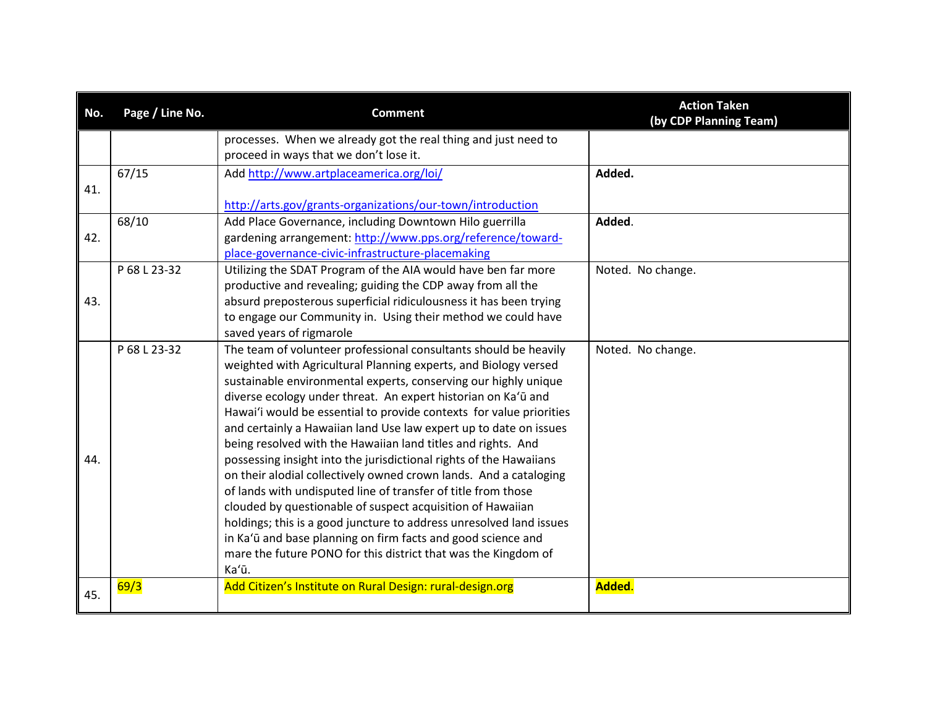| No. | Page / Line No. | <b>Comment</b>                                                                                                                     | <b>Action Taken</b><br>(by CDP Planning Team) |
|-----|-----------------|------------------------------------------------------------------------------------------------------------------------------------|-----------------------------------------------|
|     |                 | processes. When we already got the real thing and just need to                                                                     |                                               |
|     |                 | proceed in ways that we don't lose it.                                                                                             |                                               |
|     | 67/15           | Add http://www.artplaceamerica.org/loi/                                                                                            | Added.                                        |
| 41. |                 | http://arts.gov/grants-organizations/our-town/introduction                                                                         |                                               |
|     | 68/10           | Add Place Governance, including Downtown Hilo guerrilla                                                                            | Added.                                        |
| 42. |                 | gardening arrangement: http://www.pps.org/reference/toward-                                                                        |                                               |
|     |                 | place-governance-civic-infrastructure-placemaking                                                                                  |                                               |
|     | P 68 L 23-32    | Utilizing the SDAT Program of the AIA would have ben far more                                                                      | Noted. No change.                             |
|     |                 | productive and revealing; guiding the CDP away from all the                                                                        |                                               |
| 43. |                 | absurd preposterous superficial ridiculousness it has been trying                                                                  |                                               |
|     |                 | to engage our Community in. Using their method we could have                                                                       |                                               |
|     |                 | saved years of rigmarole                                                                                                           |                                               |
|     | P 68 L 23-32    | The team of volunteer professional consultants should be heavily                                                                   | Noted. No change.                             |
|     |                 | weighted with Agricultural Planning experts, and Biology versed                                                                    |                                               |
|     |                 | sustainable environmental experts, conserving our highly unique                                                                    |                                               |
|     |                 | diverse ecology under threat. An expert historian on Ka'ū and                                                                      |                                               |
|     |                 | Hawai'i would be essential to provide contexts for value priorities                                                                |                                               |
|     |                 | and certainly a Hawaiian land Use law expert up to date on issues                                                                  |                                               |
| 44. |                 | being resolved with the Hawaiian land titles and rights. And<br>possessing insight into the jurisdictional rights of the Hawaiians |                                               |
|     |                 | on their alodial collectively owned crown lands. And a cataloging                                                                  |                                               |
|     |                 | of lands with undisputed line of transfer of title from those                                                                      |                                               |
|     |                 | clouded by questionable of suspect acquisition of Hawaiian                                                                         |                                               |
|     |                 | holdings; this is a good juncture to address unresolved land issues                                                                |                                               |
|     |                 | in Ka'ū and base planning on firm facts and good science and                                                                       |                                               |
|     |                 | mare the future PONO for this district that was the Kingdom of                                                                     |                                               |
|     |                 | Ka'ū.                                                                                                                              |                                               |
| 45. | 69/3            | Add Citizen's Institute on Rural Design: rural-design.org                                                                          | Added.                                        |
|     |                 |                                                                                                                                    |                                               |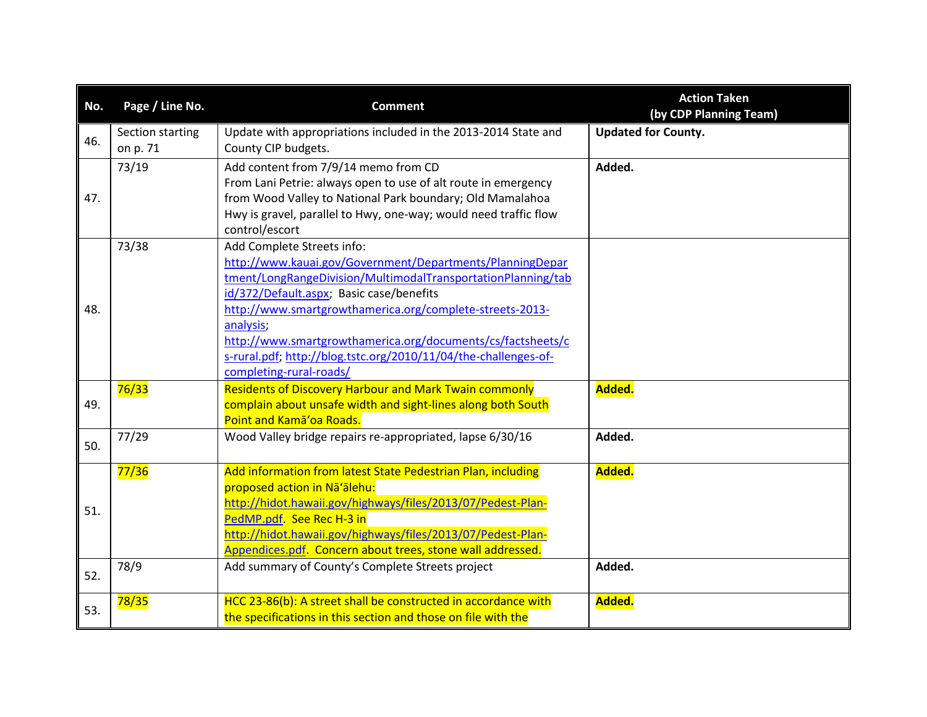| No.        | Page / Line No.              | <b>Comment</b>                                                                                                                                                                                                                                                                                                                                                                                                                            | <b>Action Taken</b><br>(by CDP Planning Team) |
|------------|------------------------------|-------------------------------------------------------------------------------------------------------------------------------------------------------------------------------------------------------------------------------------------------------------------------------------------------------------------------------------------------------------------------------------------------------------------------------------------|-----------------------------------------------|
| 46.        | Section starting<br>on p. 71 | Update with appropriations included in the 2013-2014 State and<br>County CIP budgets.                                                                                                                                                                                                                                                                                                                                                     | <b>Updated for County.</b>                    |
| 47.        | 73/19                        | Add content from 7/9/14 memo from CD<br>From Lani Petrie: always open to use of alt route in emergency<br>from Wood Valley to National Park boundary; Old Mamalahoa<br>Hwy is gravel, parallel to Hwy, one-way; would need traffic flow<br>control/escort                                                                                                                                                                                 | Added.                                        |
| 48.        | 73/38                        | Add Complete Streets info:<br>http://www.kauai.gov/Government/Departments/PlanningDepar<br>tment/LongRangeDivision/MultimodalTransportationPlanning/tab<br>id/372/Default.aspx; Basic case/benefits<br>http://www.smartgrowthamerica.org/complete-streets-2013-<br>analysis:<br>http://www.smartgrowthamerica.org/documents/cs/factsheets/c<br>s-rural.pdf; http://blog.tstc.org/2010/11/04/the-challenges-of-<br>completing-rural-roads/ |                                               |
| 49.        | 76/33                        | <b>Residents of Discovery Harbour and Mark Twain commonly</b><br>complain about unsafe width and sight-lines along both South<br>Point and Kama'oa Roads.                                                                                                                                                                                                                                                                                 | Added.                                        |
| 50.        | 77/29                        | Wood Valley bridge repairs re-appropriated, lapse 6/30/16                                                                                                                                                                                                                                                                                                                                                                                 | Added.                                        |
| 51.<br>52. | 77/36<br>78/9                | Add information from latest State Pedestrian Plan, including<br>proposed action in Na'alehu:<br>http://hidot.hawaii.gov/highways/files/2013/07/Pedest-Plan-<br>PedMP.pdf. See Rec H-3 in<br>http://hidot.hawaii.gov/highways/files/2013/07/Pedest-Plan-<br>Appendices.pdf. Concern about trees, stone wall addressed.<br>Add summary of County's Complete Streets project                                                                 | Added.<br>Added.                              |
| 53.        | 78/35                        | HCC 23-86(b): A street shall be constructed in accordance with<br>the specifications in this section and those on file with the                                                                                                                                                                                                                                                                                                           | Added.                                        |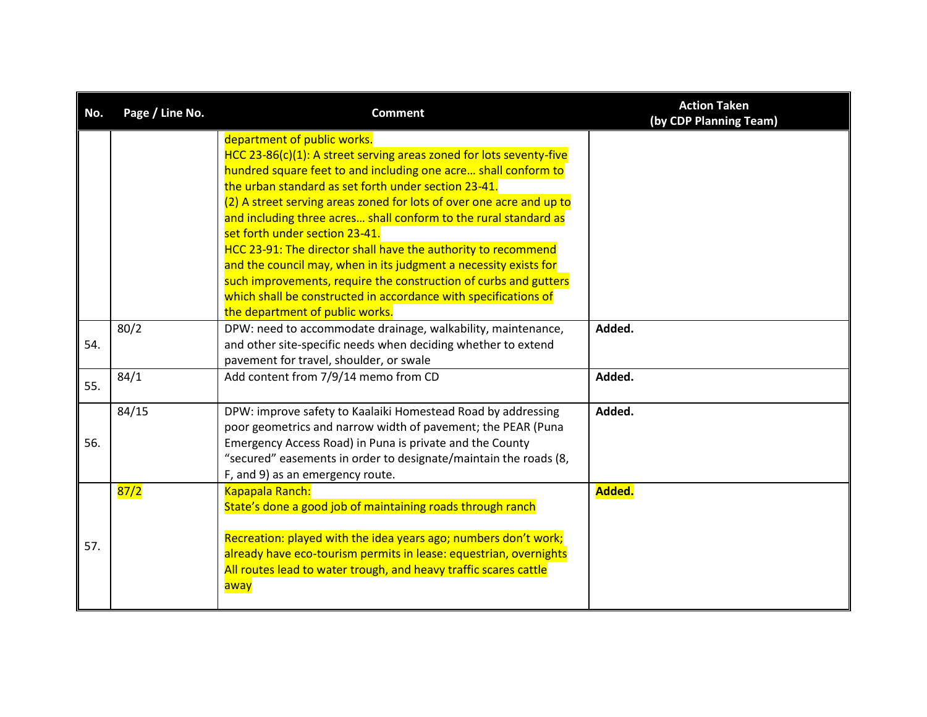| No. | Page / Line No. | <b>Comment</b>                                                                                                                                                                                                                                                                                                                                                                                                                                                                                                                                                                                                                                                                                                            | <b>Action Taken</b><br>(by CDP Planning Team) |
|-----|-----------------|---------------------------------------------------------------------------------------------------------------------------------------------------------------------------------------------------------------------------------------------------------------------------------------------------------------------------------------------------------------------------------------------------------------------------------------------------------------------------------------------------------------------------------------------------------------------------------------------------------------------------------------------------------------------------------------------------------------------------|-----------------------------------------------|
|     |                 | department of public works.<br>HCC 23-86(c)(1): A street serving areas zoned for lots seventy-five<br>hundred square feet to and including one acre shall conform to<br>the urban standard as set forth under section 23-41.<br>(2) A street serving areas zoned for lots of over one acre and up to<br>and including three acres shall conform to the rural standard as<br>set forth under section 23-41.<br>HCC 23-91: The director shall have the authority to recommend<br>and the council may, when in its judgment a necessity exists for<br>such improvements, require the construction of curbs and gutters<br>which shall be constructed in accordance with specifications of<br>the department of public works. |                                               |
| 54. | 80/2            | DPW: need to accommodate drainage, walkability, maintenance,<br>and other site-specific needs when deciding whether to extend<br>pavement for travel, shoulder, or swale                                                                                                                                                                                                                                                                                                                                                                                                                                                                                                                                                  | Added.                                        |
| 55. | 84/1            | Add content from 7/9/14 memo from CD                                                                                                                                                                                                                                                                                                                                                                                                                                                                                                                                                                                                                                                                                      | Added.                                        |
| 56. | 84/15           | DPW: improve safety to Kaalaiki Homestead Road by addressing<br>poor geometrics and narrow width of pavement; the PEAR (Puna<br>Emergency Access Road) in Puna is private and the County<br>"secured" easements in order to designate/maintain the roads (8,<br>F, and 9) as an emergency route.                                                                                                                                                                                                                                                                                                                                                                                                                          | Added.                                        |
| 57. | 87/2            | Kapapala Ranch:<br>State's done a good job of maintaining roads through ranch<br>Recreation: played with the idea years ago; numbers don't work;<br>already have eco-tourism permits in lease: equestrian, overnights<br>All routes lead to water trough, and heavy traffic scares cattle<br>away                                                                                                                                                                                                                                                                                                                                                                                                                         | Added.                                        |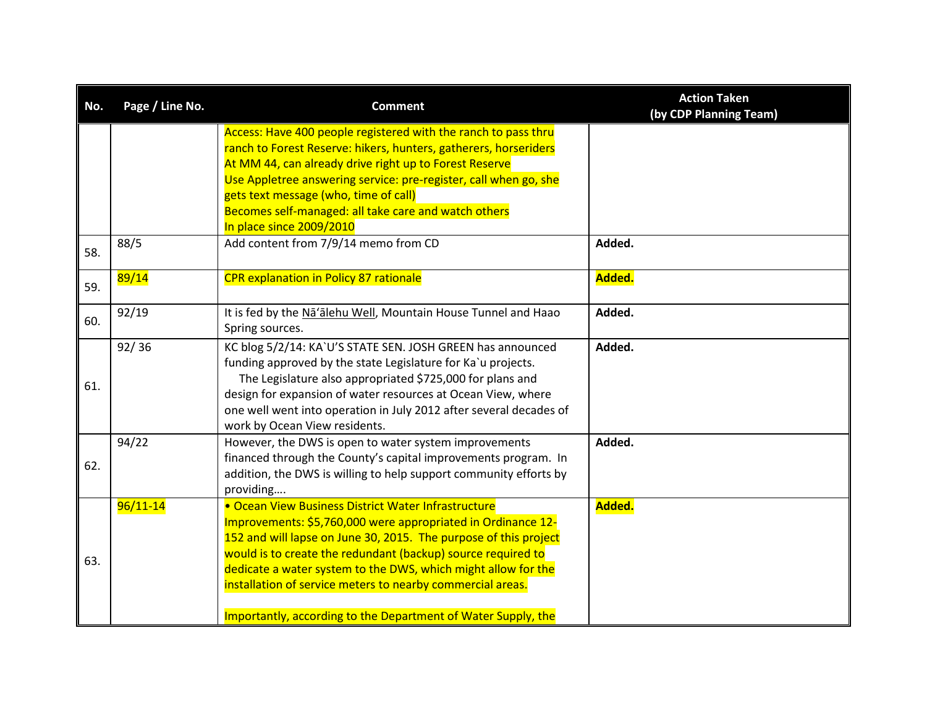| No. | Page / Line No. | <b>Comment</b>                                                                                                                                                                                                                                                                                                                                                                                                                                          | <b>Action Taken</b><br>(by CDP Planning Team) |
|-----|-----------------|---------------------------------------------------------------------------------------------------------------------------------------------------------------------------------------------------------------------------------------------------------------------------------------------------------------------------------------------------------------------------------------------------------------------------------------------------------|-----------------------------------------------|
|     |                 | Access: Have 400 people registered with the ranch to pass thru<br>ranch to Forest Reserve: hikers, hunters, gatherers, horseriders<br>At MM 44, can already drive right up to Forest Reserve<br>Use Appletree answering service: pre-register, call when go, she<br>gets text message (who, time of call)<br>Becomes self-managed: all take care and watch others<br>In place since 2009/2010                                                           |                                               |
| 58. | 88/5            | Add content from 7/9/14 memo from CD                                                                                                                                                                                                                                                                                                                                                                                                                    | Added.                                        |
| 59. | 89/14           | <b>CPR explanation in Policy 87 rationale</b>                                                                                                                                                                                                                                                                                                                                                                                                           | Added.                                        |
| 60. | 92/19           | It is fed by the Na'alehu Well, Mountain House Tunnel and Haao<br>Spring sources.                                                                                                                                                                                                                                                                                                                                                                       | Added.                                        |
| 61. | 92/36           | KC blog 5/2/14: KA`U'S STATE SEN. JOSH GREEN has announced<br>funding approved by the state Legislature for Ka'u projects.<br>The Legislature also appropriated \$725,000 for plans and<br>design for expansion of water resources at Ocean View, where<br>one well went into operation in July 2012 after several decades of<br>work by Ocean View residents.                                                                                          | Added.                                        |
| 62. | 94/22           | However, the DWS is open to water system improvements<br>financed through the County's capital improvements program. In<br>addition, the DWS is willing to help support community efforts by<br>providing                                                                                                                                                                                                                                               | Added.                                        |
| 63. | $96/11 - 14$    | • Ocean View Business District Water Infrastructure<br>Improvements: \$5,760,000 were appropriated in Ordinance 12-<br>152 and will lapse on June 30, 2015. The purpose of this project<br>would is to create the redundant (backup) source required to<br>dedicate a water system to the DWS, which might allow for the<br>installation of service meters to nearby commercial areas.<br>Importantly, according to the Department of Water Supply, the | Added.                                        |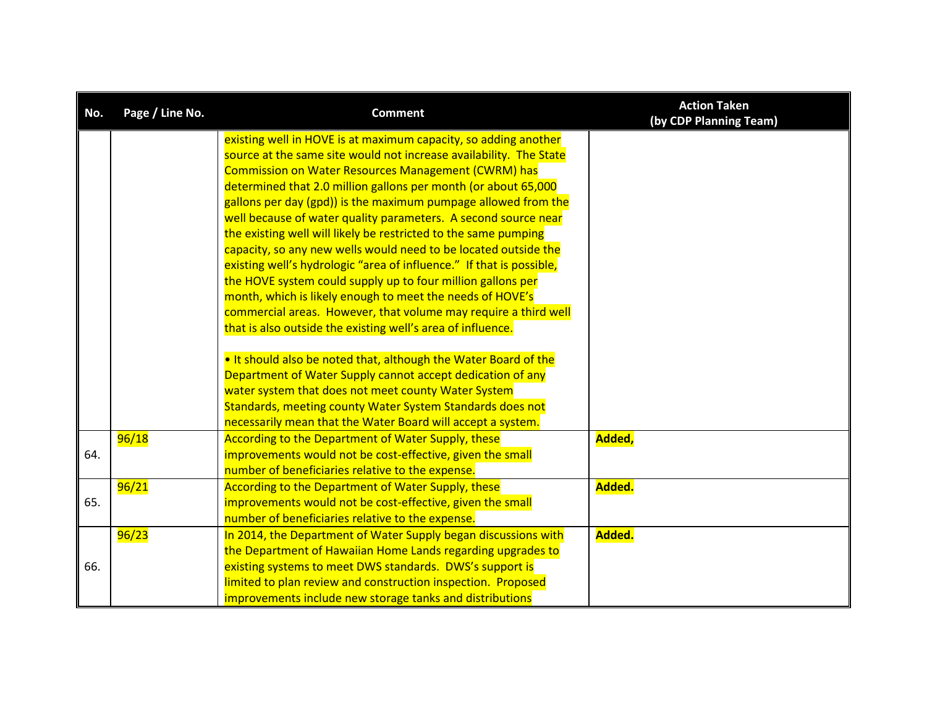| No. | Page / Line No. | <b>Comment</b>                                                                                                                        | <b>Action Taken</b><br>(by CDP Planning Team) |
|-----|-----------------|---------------------------------------------------------------------------------------------------------------------------------------|-----------------------------------------------|
|     |                 | existing well in HOVE is at maximum capacity, so adding another<br>source at the same site would not increase availability. The State |                                               |
|     |                 | <b>Commission on Water Resources Management (CWRM) has</b>                                                                            |                                               |
|     |                 | determined that 2.0 million gallons per month (or about 65,000                                                                        |                                               |
|     |                 | gallons per day (gpd)) is the maximum pumpage allowed from the                                                                        |                                               |
|     |                 | well because of water quality parameters. A second source near                                                                        |                                               |
|     |                 | the existing well will likely be restricted to the same pumping                                                                       |                                               |
|     |                 | capacity, so any new wells would need to be located outside the                                                                       |                                               |
|     |                 | existing well's hydrologic "area of influence." If that is possible,                                                                  |                                               |
|     |                 | the HOVE system could supply up to four million gallons per                                                                           |                                               |
|     |                 | month, which is likely enough to meet the needs of HOVE's                                                                             |                                               |
|     |                 | commercial areas. However, that volume may require a third well                                                                       |                                               |
|     |                 | that is also outside the existing well's area of influence.                                                                           |                                               |
|     |                 |                                                                                                                                       |                                               |
|     |                 | . It should also be noted that, although the Water Board of the                                                                       |                                               |
|     |                 | Department of Water Supply cannot accept dedication of any                                                                            |                                               |
|     |                 | water system that does not meet county Water System                                                                                   |                                               |
|     |                 | Standards, meeting county Water System Standards does not                                                                             |                                               |
|     |                 | necessarily mean that the Water Board will accept a system.                                                                           |                                               |
|     | 96/18           | According to the Department of Water Supply, these                                                                                    | Added,                                        |
| 64. |                 | improvements would not be cost-effective, given the small                                                                             |                                               |
|     |                 | number of beneficiaries relative to the expense.                                                                                      |                                               |
|     | 96/21           | According to the Department of Water Supply, these                                                                                    | Added.                                        |
| 65. |                 | improvements would not be cost-effective, given the small                                                                             |                                               |
|     |                 | number of beneficiaries relative to the expense.                                                                                      |                                               |
|     | 96/23           | In 2014, the Department of Water Supply began discussions with                                                                        | Added.                                        |
|     |                 | the Department of Hawaiian Home Lands regarding upgrades to                                                                           |                                               |
| 66. |                 | existing systems to meet DWS standards. DWS's support is                                                                              |                                               |
|     |                 | limited to plan review and construction inspection. Proposed                                                                          |                                               |
|     |                 | improvements include new storage tanks and distributions                                                                              |                                               |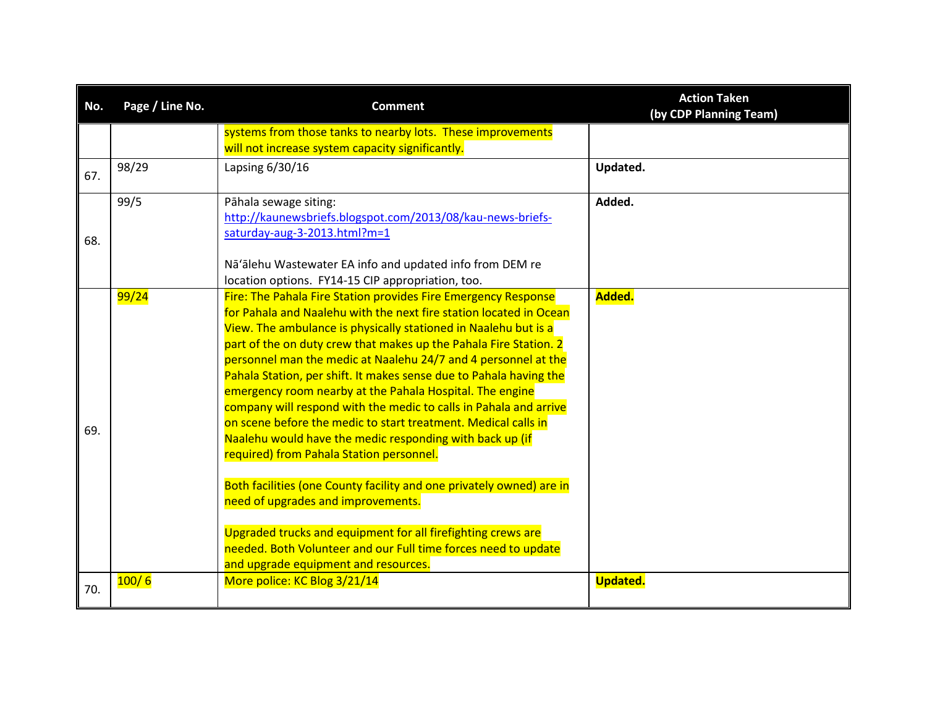| No. | Page / Line No. | <b>Comment</b>                                                                                                                                                                                                                                                                                                                                                                                                                                                                                                                                                                                                                                                                                                                                                                                                                                                                                                                                                                                                          | <b>Action Taken</b><br>(by CDP Planning Team) |
|-----|-----------------|-------------------------------------------------------------------------------------------------------------------------------------------------------------------------------------------------------------------------------------------------------------------------------------------------------------------------------------------------------------------------------------------------------------------------------------------------------------------------------------------------------------------------------------------------------------------------------------------------------------------------------------------------------------------------------------------------------------------------------------------------------------------------------------------------------------------------------------------------------------------------------------------------------------------------------------------------------------------------------------------------------------------------|-----------------------------------------------|
|     |                 | systems from those tanks to nearby lots. These improvements<br>will not increase system capacity significantly.                                                                                                                                                                                                                                                                                                                                                                                                                                                                                                                                                                                                                                                                                                                                                                                                                                                                                                         |                                               |
| 67. | 98/29           | Lapsing 6/30/16                                                                                                                                                                                                                                                                                                                                                                                                                                                                                                                                                                                                                                                                                                                                                                                                                                                                                                                                                                                                         | Updated.                                      |
| 68. | 99/5            | Pāhala sewage siting:<br>http://kaunewsbriefs.blogspot.com/2013/08/kau-news-briefs-<br>saturday-aug-3-2013.html?m=1<br>Nā'ālehu Wastewater EA info and updated info from DEM re<br>location options. FY14-15 CIP appropriation, too.                                                                                                                                                                                                                                                                                                                                                                                                                                                                                                                                                                                                                                                                                                                                                                                    | Added.                                        |
| 69. | 99/24           | Fire: The Pahala Fire Station provides Fire Emergency Response<br>for Pahala and Naalehu with the next fire station located in Ocean<br>View. The ambulance is physically stationed in Naalehu but is a<br>part of the on duty crew that makes up the Pahala Fire Station. 2<br>personnel man the medic at Naalehu 24/7 and 4 personnel at the<br>Pahala Station, per shift. It makes sense due to Pahala having the<br>emergency room nearby at the Pahala Hospital. The engine<br>company will respond with the medic to calls in Pahala and arrive<br>on scene before the medic to start treatment. Medical calls in<br>Naalehu would have the medic responding with back up (if<br>required) from Pahala Station personnel.<br>Both facilities (one County facility and one privately owned) are in<br>need of upgrades and improvements.<br>Upgraded trucks and equipment for all firefighting crews are<br>needed. Both Volunteer and our Full time forces need to update<br>and upgrade equipment and resources. | Added.                                        |
| 70. | 100/6           | More police: KC Blog 3/21/14                                                                                                                                                                                                                                                                                                                                                                                                                                                                                                                                                                                                                                                                                                                                                                                                                                                                                                                                                                                            | <b>Updated.</b>                               |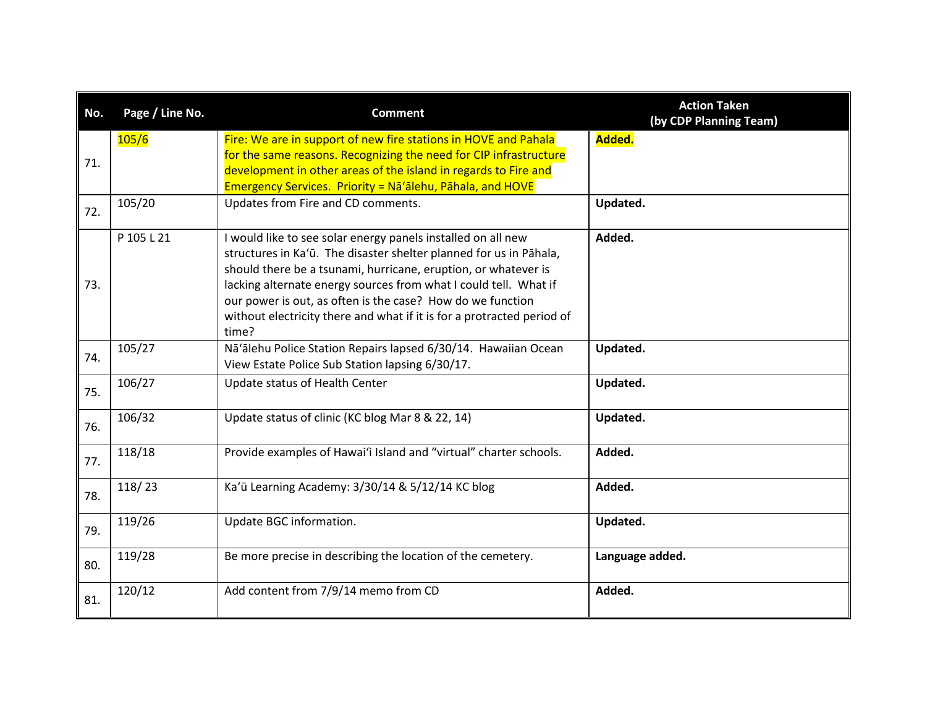| No. | Page / Line No. | <b>Comment</b>                                                                                                                                                                                                                                                                                                                                                                                                            | <b>Action Taken</b><br>(by CDP Planning Team) |
|-----|-----------------|---------------------------------------------------------------------------------------------------------------------------------------------------------------------------------------------------------------------------------------------------------------------------------------------------------------------------------------------------------------------------------------------------------------------------|-----------------------------------------------|
| 71. | 105/6           | Fire: We are in support of new fire stations in HOVE and Pahala<br>for the same reasons. Recognizing the need for CIP infrastructure<br>development in other areas of the island in regards to Fire and<br><b>Emergency Services. Priority = Na'alehu, Pahala, and HOVE</b>                                                                                                                                               | Added.                                        |
| 72. | 105/20          | Updates from Fire and CD comments.                                                                                                                                                                                                                                                                                                                                                                                        | Updated.                                      |
| 73. | P 105 L 21      | I would like to see solar energy panels installed on all new<br>structures in Ka'ū. The disaster shelter planned for us in Pāhala,<br>should there be a tsunami, hurricane, eruption, or whatever is<br>lacking alternate energy sources from what I could tell. What if<br>our power is out, as often is the case? How do we function<br>without electricity there and what if it is for a protracted period of<br>time? | Added.                                        |
| 74. | 105/27          | Nā'ālehu Police Station Repairs lapsed 6/30/14. Hawaiian Ocean<br>View Estate Police Sub Station lapsing 6/30/17.                                                                                                                                                                                                                                                                                                         | Updated.                                      |
| 75. | 106/27          | Update status of Health Center                                                                                                                                                                                                                                                                                                                                                                                            | Updated.                                      |
| 76. | 106/32          | Update status of clinic (KC blog Mar 8 & 22, 14)                                                                                                                                                                                                                                                                                                                                                                          | Updated.                                      |
| 77. | 118/18          | Provide examples of Hawai'i Island and "virtual" charter schools.                                                                                                                                                                                                                                                                                                                                                         | Added.                                        |
| 78. | 118/23          | Ka'ū Learning Academy: 3/30/14 & 5/12/14 KC blog                                                                                                                                                                                                                                                                                                                                                                          | Added.                                        |
| 79. | 119/26          | Update BGC information.                                                                                                                                                                                                                                                                                                                                                                                                   | Updated.                                      |
| 80. | 119/28          | Be more precise in describing the location of the cemetery.                                                                                                                                                                                                                                                                                                                                                               | Language added.                               |
| 81. | 120/12          | Add content from 7/9/14 memo from CD                                                                                                                                                                                                                                                                                                                                                                                      | Added.                                        |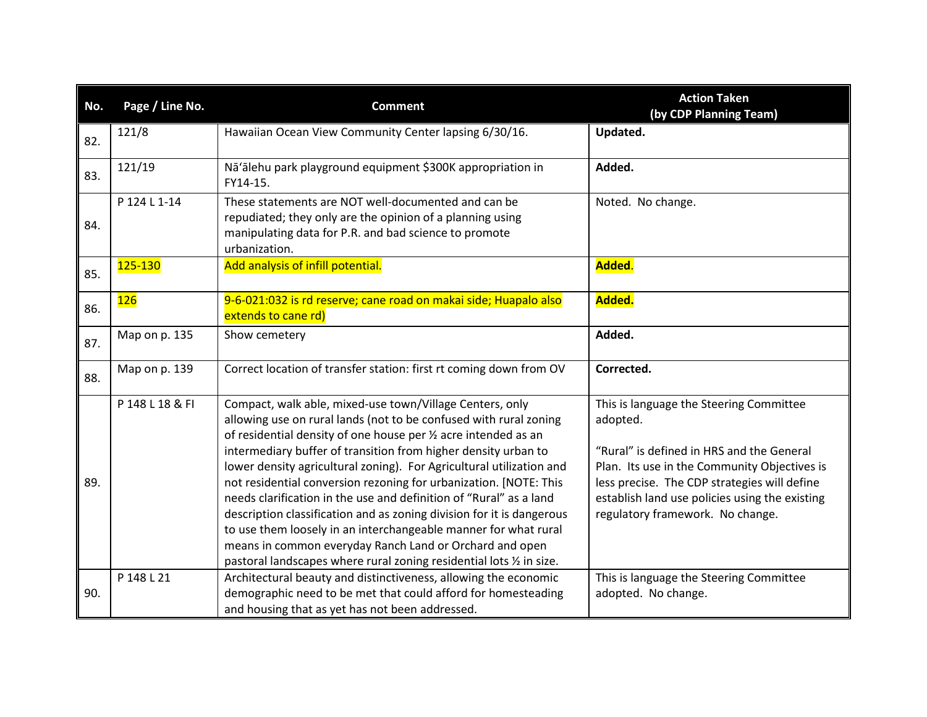| No. | Page / Line No. | <b>Comment</b>                                                                                                                                                                                                                                                                                                                                                                                                                                                                                                                                                                                                                                                                                                                                                       | <b>Action Taken</b><br>(by CDP Planning Team)                                                                                                                                                                                                                                          |
|-----|-----------------|----------------------------------------------------------------------------------------------------------------------------------------------------------------------------------------------------------------------------------------------------------------------------------------------------------------------------------------------------------------------------------------------------------------------------------------------------------------------------------------------------------------------------------------------------------------------------------------------------------------------------------------------------------------------------------------------------------------------------------------------------------------------|----------------------------------------------------------------------------------------------------------------------------------------------------------------------------------------------------------------------------------------------------------------------------------------|
| 82. | 121/8           | Hawaiian Ocean View Community Center lapsing 6/30/16.                                                                                                                                                                                                                                                                                                                                                                                                                                                                                                                                                                                                                                                                                                                | Updated.                                                                                                                                                                                                                                                                               |
| 83. | 121/19          | Nā'ālehu park playground equipment \$300K appropriation in<br>FY14-15.                                                                                                                                                                                                                                                                                                                                                                                                                                                                                                                                                                                                                                                                                               | Added.                                                                                                                                                                                                                                                                                 |
| 84. | P 124 L 1-14    | These statements are NOT well-documented and can be<br>repudiated; they only are the opinion of a planning using<br>manipulating data for P.R. and bad science to promote<br>urbanization.                                                                                                                                                                                                                                                                                                                                                                                                                                                                                                                                                                           | Noted. No change.                                                                                                                                                                                                                                                                      |
| 85. | 125-130         | Add analysis of infill potential.                                                                                                                                                                                                                                                                                                                                                                                                                                                                                                                                                                                                                                                                                                                                    | Added.                                                                                                                                                                                                                                                                                 |
| 86. | 126             | 9-6-021:032 is rd reserve; cane road on makai side; Huapalo also<br>extends to cane rd)                                                                                                                                                                                                                                                                                                                                                                                                                                                                                                                                                                                                                                                                              | Added.                                                                                                                                                                                                                                                                                 |
| 87. | Map on p. 135   | Show cemetery                                                                                                                                                                                                                                                                                                                                                                                                                                                                                                                                                                                                                                                                                                                                                        | Added.                                                                                                                                                                                                                                                                                 |
| 88. | Map on p. 139   | Correct location of transfer station: first rt coming down from OV                                                                                                                                                                                                                                                                                                                                                                                                                                                                                                                                                                                                                                                                                                   | Corrected.                                                                                                                                                                                                                                                                             |
| 89. | P 148 L 18 & FI | Compact, walk able, mixed-use town/Village Centers, only<br>allowing use on rural lands (not to be confused with rural zoning<br>of residential density of one house per 1/2 acre intended as an<br>intermediary buffer of transition from higher density urban to<br>lower density agricultural zoning). For Agricultural utilization and<br>not residential conversion rezoning for urbanization. [NOTE: This<br>needs clarification in the use and definition of "Rural" as a land<br>description classification and as zoning division for it is dangerous<br>to use them loosely in an interchangeable manner for what rural<br>means in common everyday Ranch Land or Orchard and open<br>pastoral landscapes where rural zoning residential lots 1/2 in size. | This is language the Steering Committee<br>adopted.<br>"Rural" is defined in HRS and the General<br>Plan. Its use in the Community Objectives is<br>less precise. The CDP strategies will define<br>establish land use policies using the existing<br>regulatory framework. No change. |
| 90. | P 148 L 21      | Architectural beauty and distinctiveness, allowing the economic<br>demographic need to be met that could afford for homesteading<br>and housing that as yet has not been addressed.                                                                                                                                                                                                                                                                                                                                                                                                                                                                                                                                                                                  | This is language the Steering Committee<br>adopted. No change.                                                                                                                                                                                                                         |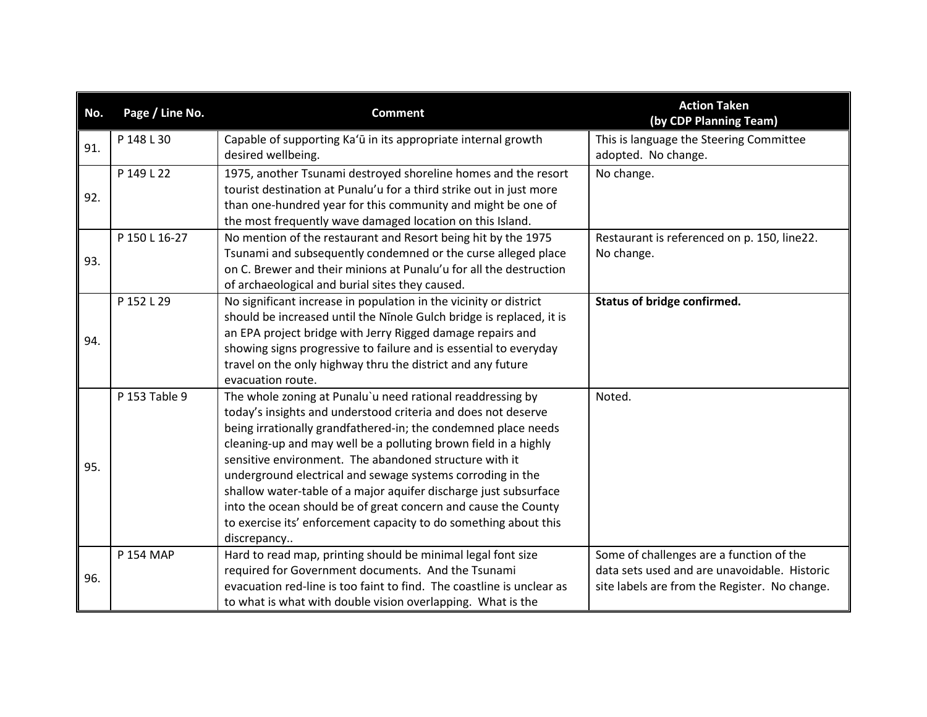| No. | Page / Line No. | <b>Comment</b>                                                                                                                     | <b>Action Taken</b><br>(by CDP Planning Team) |
|-----|-----------------|------------------------------------------------------------------------------------------------------------------------------------|-----------------------------------------------|
| 91. | P 148 L 30      | Capable of supporting Ka'ū in its appropriate internal growth                                                                      | This is language the Steering Committee       |
|     |                 | desired wellbeing.                                                                                                                 | adopted. No change.                           |
|     | P 149 L 22      | 1975, another Tsunami destroyed shoreline homes and the resort                                                                     | No change.                                    |
| 92. |                 | tourist destination at Punalu'u for a third strike out in just more                                                                |                                               |
|     |                 | than one-hundred year for this community and might be one of                                                                       |                                               |
|     |                 | the most frequently wave damaged location on this Island.                                                                          |                                               |
|     | P 150 L 16-27   | No mention of the restaurant and Resort being hit by the 1975                                                                      | Restaurant is referenced on p. 150, line22.   |
| 93. |                 | Tsunami and subsequently condemned or the curse alleged place                                                                      | No change.                                    |
|     |                 | on C. Brewer and their minions at Punalu'u for all the destruction                                                                 |                                               |
|     |                 | of archaeological and burial sites they caused.                                                                                    |                                               |
|     | P 152 L 29      | No significant increase in population in the vicinity or district                                                                  | Status of bridge confirmed.                   |
|     |                 | should be increased until the Ninole Gulch bridge is replaced, it is                                                               |                                               |
| 94. |                 | an EPA project bridge with Jerry Rigged damage repairs and                                                                         |                                               |
|     |                 | showing signs progressive to failure and is essential to everyday                                                                  |                                               |
|     |                 | travel on the only highway thru the district and any future                                                                        |                                               |
|     |                 | evacuation route.                                                                                                                  |                                               |
|     | P 153 Table 9   | The whole zoning at Punalu'u need rational readdressing by                                                                         | Noted.                                        |
|     |                 | today's insights and understood criteria and does not deserve                                                                      |                                               |
|     |                 | being irrationally grandfathered-in; the condemned place needs                                                                     |                                               |
|     |                 | cleaning-up and may well be a polluting brown field in a highly<br>sensitive environment. The abandoned structure with it          |                                               |
| 95. |                 |                                                                                                                                    |                                               |
|     |                 | underground electrical and sewage systems corroding in the                                                                         |                                               |
|     |                 | shallow water-table of a major aquifer discharge just subsurface                                                                   |                                               |
|     |                 | into the ocean should be of great concern and cause the County<br>to exercise its' enforcement capacity to do something about this |                                               |
|     |                 | discrepancy                                                                                                                        |                                               |
|     | P 154 MAP       | Hard to read map, printing should be minimal legal font size                                                                       | Some of challenges are a function of the      |
|     |                 | required for Government documents. And the Tsunami                                                                                 | data sets used and are unavoidable. Historic  |
| 96. |                 | evacuation red-line is too faint to find. The coastline is unclear as                                                              | site labels are from the Register. No change. |
|     |                 | to what is what with double vision overlapping. What is the                                                                        |                                               |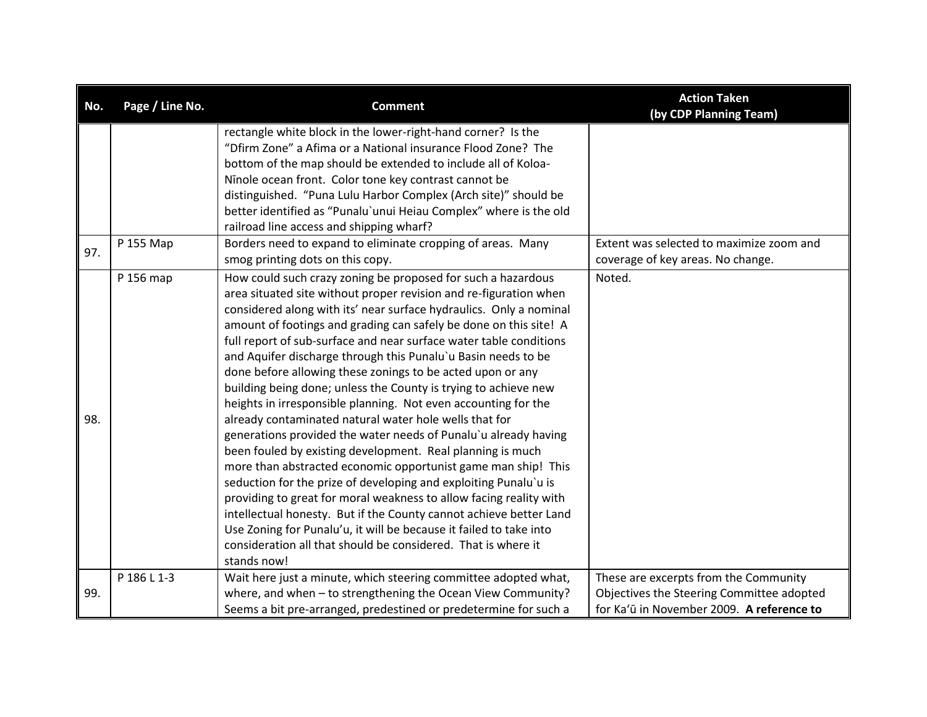| No. | Page / Line No. | <b>Comment</b>                                                                                                                                                                                                                                                                                                                                                                                                                                                                                                                                                                                                                                                                                                                                                                                                                                                                                                                                                                                                                                                                                                                                                                                                                                           | <b>Action Taken</b><br>(by CDP Planning Team)                                                                                   |
|-----|-----------------|----------------------------------------------------------------------------------------------------------------------------------------------------------------------------------------------------------------------------------------------------------------------------------------------------------------------------------------------------------------------------------------------------------------------------------------------------------------------------------------------------------------------------------------------------------------------------------------------------------------------------------------------------------------------------------------------------------------------------------------------------------------------------------------------------------------------------------------------------------------------------------------------------------------------------------------------------------------------------------------------------------------------------------------------------------------------------------------------------------------------------------------------------------------------------------------------------------------------------------------------------------|---------------------------------------------------------------------------------------------------------------------------------|
|     |                 | rectangle white block in the lower-right-hand corner? Is the<br>"Dfirm Zone" a Afima or a National insurance Flood Zone? The<br>bottom of the map should be extended to include all of Koloa-<br>Ninole ocean front. Color tone key contrast cannot be<br>distinguished. "Puna Lulu Harbor Complex (Arch site)" should be<br>better identified as "Punalu'unui Heiau Complex" where is the old<br>railroad line access and shipping wharf?                                                                                                                                                                                                                                                                                                                                                                                                                                                                                                                                                                                                                                                                                                                                                                                                               |                                                                                                                                 |
| 97. | P 155 Map       | Borders need to expand to eliminate cropping of areas. Many<br>smog printing dots on this copy.                                                                                                                                                                                                                                                                                                                                                                                                                                                                                                                                                                                                                                                                                                                                                                                                                                                                                                                                                                                                                                                                                                                                                          | Extent was selected to maximize zoom and<br>coverage of key areas. No change.                                                   |
| 98. | P 156 map       | How could such crazy zoning be proposed for such a hazardous<br>area situated site without proper revision and re-figuration when<br>considered along with its' near surface hydraulics. Only a nominal<br>amount of footings and grading can safely be done on this site! A<br>full report of sub-surface and near surface water table conditions<br>and Aquifer discharge through this Punalu'u Basin needs to be<br>done before allowing these zonings to be acted upon or any<br>building being done; unless the County is trying to achieve new<br>heights in irresponsible planning. Not even accounting for the<br>already contaminated natural water hole wells that for<br>generations provided the water needs of Punalu'u already having<br>been fouled by existing development. Real planning is much<br>more than abstracted economic opportunist game man ship! This<br>seduction for the prize of developing and exploiting Punalu'u is<br>providing to great for moral weakness to allow facing reality with<br>intellectual honesty. But if the County cannot achieve better Land<br>Use Zoning for Punalu'u, it will be because it failed to take into<br>consideration all that should be considered. That is where it<br>stands now! | Noted.                                                                                                                          |
| 99. | P 186 L 1-3     | Wait here just a minute, which steering committee adopted what,<br>where, and when - to strengthening the Ocean View Community?<br>Seems a bit pre-arranged, predestined or predetermine for such a                                                                                                                                                                                                                                                                                                                                                                                                                                                                                                                                                                                                                                                                                                                                                                                                                                                                                                                                                                                                                                                      | These are excerpts from the Community<br>Objectives the Steering Committee adopted<br>for Ka'ū in November 2009. A reference to |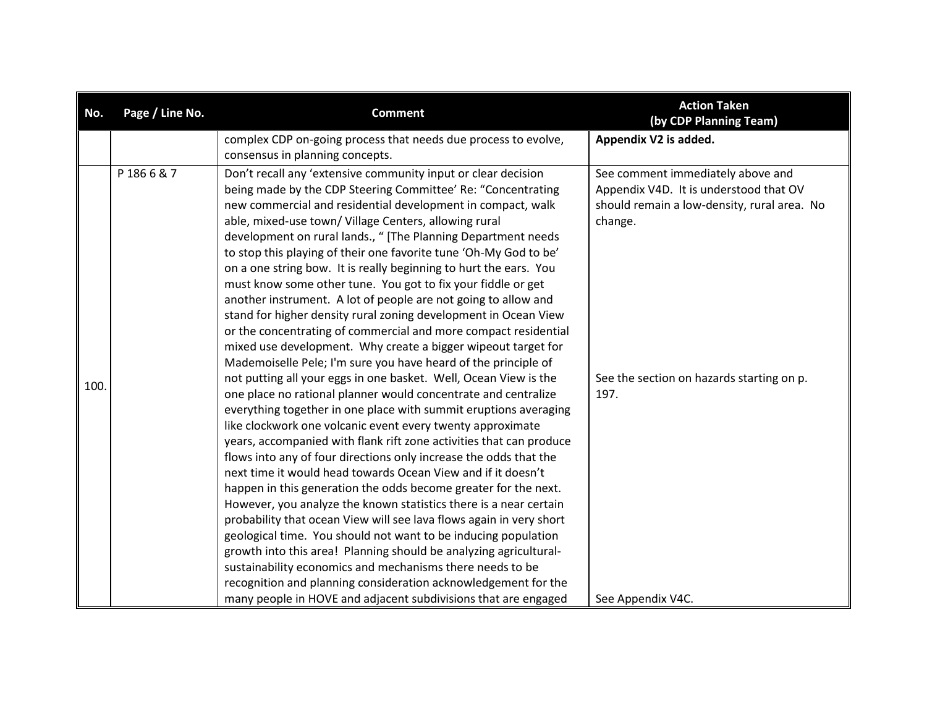| No.  | Page / Line No. | <b>Comment</b>                                                                                                                                                                                                                                                                                                                                                                                                                                                                                                                                                                                                                                                                                                                                                                                                                                                                                                                                                                                                                          | <b>Action Taken</b><br>(by CDP Planning Team)                                                                                         |
|------|-----------------|-----------------------------------------------------------------------------------------------------------------------------------------------------------------------------------------------------------------------------------------------------------------------------------------------------------------------------------------------------------------------------------------------------------------------------------------------------------------------------------------------------------------------------------------------------------------------------------------------------------------------------------------------------------------------------------------------------------------------------------------------------------------------------------------------------------------------------------------------------------------------------------------------------------------------------------------------------------------------------------------------------------------------------------------|---------------------------------------------------------------------------------------------------------------------------------------|
|      |                 | complex CDP on-going process that needs due process to evolve,                                                                                                                                                                                                                                                                                                                                                                                                                                                                                                                                                                                                                                                                                                                                                                                                                                                                                                                                                                          | Appendix V2 is added.                                                                                                                 |
|      |                 | consensus in planning concepts.                                                                                                                                                                                                                                                                                                                                                                                                                                                                                                                                                                                                                                                                                                                                                                                                                                                                                                                                                                                                         |                                                                                                                                       |
|      | P1866&7         | Don't recall any 'extensive community input or clear decision<br>being made by the CDP Steering Committee' Re: "Concentrating<br>new commercial and residential development in compact, walk<br>able, mixed-use town/ Village Centers, allowing rural<br>development on rural lands., " [The Planning Department needs<br>to stop this playing of their one favorite tune 'Oh-My God to be'<br>on a one string bow. It is really beginning to hurt the ears. You<br>must know some other tune. You got to fix your fiddle or get<br>another instrument. A lot of people are not going to allow and<br>stand for higher density rural zoning development in Ocean View<br>or the concentrating of commercial and more compact residential<br>mixed use development. Why create a bigger wipeout target for<br>Mademoiselle Pele; I'm sure you have heard of the principle of                                                                                                                                                             | See comment immediately above and<br>Appendix V4D. It is understood that OV<br>should remain a low-density, rural area. No<br>change. |
| 100. |                 | not putting all your eggs in one basket. Well, Ocean View is the<br>one place no rational planner would concentrate and centralize<br>everything together in one place with summit eruptions averaging<br>like clockwork one volcanic event every twenty approximate<br>years, accompanied with flank rift zone activities that can produce<br>flows into any of four directions only increase the odds that the<br>next time it would head towards Ocean View and if it doesn't<br>happen in this generation the odds become greater for the next.<br>However, you analyze the known statistics there is a near certain<br>probability that ocean View will see lava flows again in very short<br>geological time. You should not want to be inducing population<br>growth into this area! Planning should be analyzing agricultural-<br>sustainability economics and mechanisms there needs to be<br>recognition and planning consideration acknowledgement for the<br>many people in HOVE and adjacent subdivisions that are engaged | See the section on hazards starting on p.<br>197.<br>See Appendix V4C.                                                                |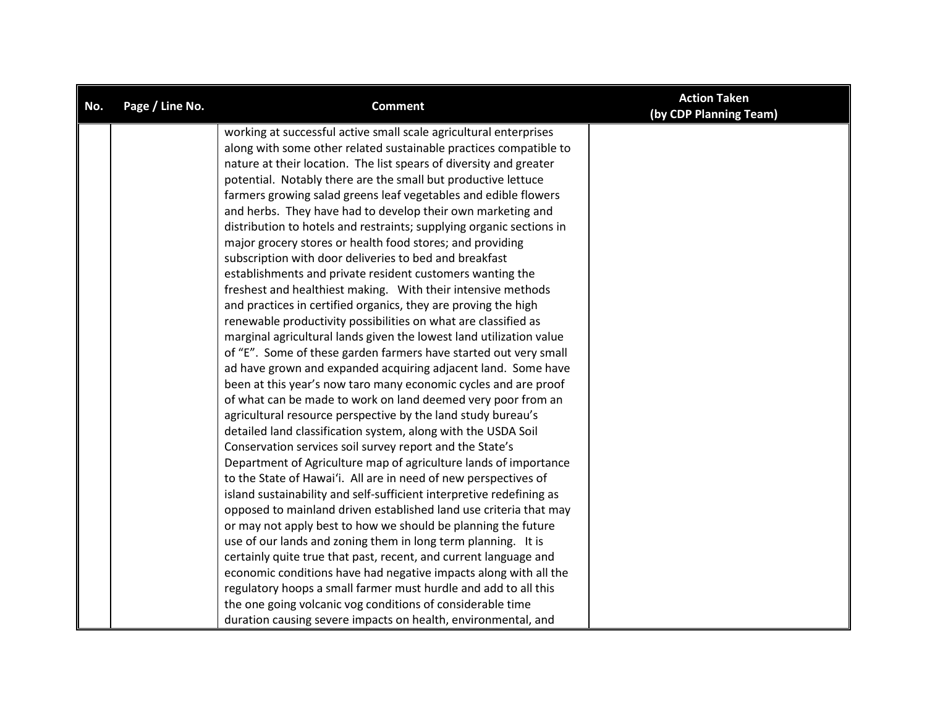| No. | Page / Line No. | <b>Comment</b>                                                       | <b>Action Taken</b><br>(by CDP Planning Team) |
|-----|-----------------|----------------------------------------------------------------------|-----------------------------------------------|
|     |                 | working at successful active small scale agricultural enterprises    |                                               |
|     |                 | along with some other related sustainable practices compatible to    |                                               |
|     |                 | nature at their location. The list spears of diversity and greater   |                                               |
|     |                 | potential. Notably there are the small but productive lettuce        |                                               |
|     |                 | farmers growing salad greens leaf vegetables and edible flowers      |                                               |
|     |                 | and herbs. They have had to develop their own marketing and          |                                               |
|     |                 | distribution to hotels and restraints; supplying organic sections in |                                               |
|     |                 | major grocery stores or health food stores; and providing            |                                               |
|     |                 | subscription with door deliveries to bed and breakfast               |                                               |
|     |                 | establishments and private resident customers wanting the            |                                               |
|     |                 | freshest and healthiest making. With their intensive methods         |                                               |
|     |                 | and practices in certified organics, they are proving the high       |                                               |
|     |                 | renewable productivity possibilities on what are classified as       |                                               |
|     |                 | marginal agricultural lands given the lowest land utilization value  |                                               |
|     |                 | of "E". Some of these garden farmers have started out very small     |                                               |
|     |                 | ad have grown and expanded acquiring adjacent land. Some have        |                                               |
|     |                 | been at this year's now taro many economic cycles and are proof      |                                               |
|     |                 | of what can be made to work on land deemed very poor from an         |                                               |
|     |                 | agricultural resource perspective by the land study bureau's         |                                               |
|     |                 | detailed land classification system, along with the USDA Soil        |                                               |
|     |                 | Conservation services soil survey report and the State's             |                                               |
|     |                 | Department of Agriculture map of agriculture lands of importance     |                                               |
|     |                 | to the State of Hawai'i. All are in need of new perspectives of      |                                               |
|     |                 | island sustainability and self-sufficient interpretive redefining as |                                               |
|     |                 | opposed to mainland driven established land use criteria that may    |                                               |
|     |                 | or may not apply best to how we should be planning the future        |                                               |
|     |                 | use of our lands and zoning them in long term planning. It is        |                                               |
|     |                 | certainly quite true that past, recent, and current language and     |                                               |
|     |                 | economic conditions have had negative impacts along with all the     |                                               |
|     |                 | regulatory hoops a small farmer must hurdle and add to all this      |                                               |
|     |                 | the one going volcanic vog conditions of considerable time           |                                               |
|     |                 | duration causing severe impacts on health, environmental, and        |                                               |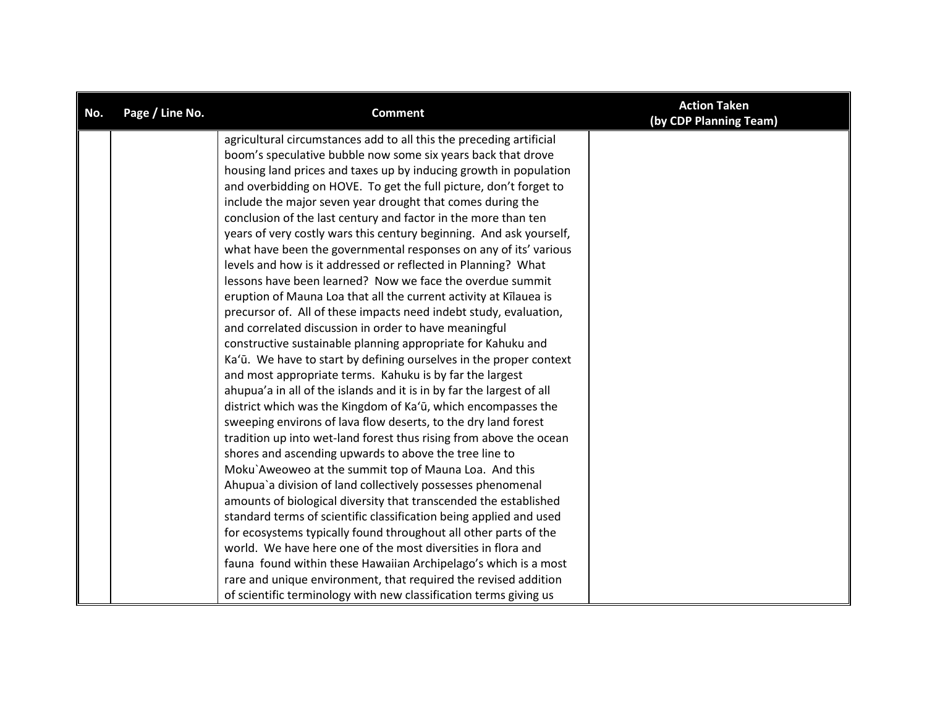| No. | Page / Line No. | <b>Comment</b>                                                        | <b>Action Taken</b><br>(by CDP Planning Team) |
|-----|-----------------|-----------------------------------------------------------------------|-----------------------------------------------|
|     |                 | agricultural circumstances add to all this the preceding artificial   |                                               |
|     |                 | boom's speculative bubble now some six years back that drove          |                                               |
|     |                 | housing land prices and taxes up by inducing growth in population     |                                               |
|     |                 | and overbidding on HOVE. To get the full picture, don't forget to     |                                               |
|     |                 | include the major seven year drought that comes during the            |                                               |
|     |                 | conclusion of the last century and factor in the more than ten        |                                               |
|     |                 | years of very costly wars this century beginning. And ask yourself,   |                                               |
|     |                 | what have been the governmental responses on any of its' various      |                                               |
|     |                 | levels and how is it addressed or reflected in Planning? What         |                                               |
|     |                 | lessons have been learned? Now we face the overdue summit             |                                               |
|     |                 | eruption of Mauna Loa that all the current activity at Kīlauea is     |                                               |
|     |                 | precursor of. All of these impacts need indebt study, evaluation,     |                                               |
|     |                 | and correlated discussion in order to have meaningful                 |                                               |
|     |                 | constructive sustainable planning appropriate for Kahuku and          |                                               |
|     |                 | Ka'ū. We have to start by defining ourselves in the proper context    |                                               |
|     |                 | and most appropriate terms. Kahuku is by far the largest              |                                               |
|     |                 | ahupua'a in all of the islands and it is in by far the largest of all |                                               |
|     |                 | district which was the Kingdom of Ka'ū, which encompasses the         |                                               |
|     |                 | sweeping environs of lava flow deserts, to the dry land forest        |                                               |
|     |                 | tradition up into wet-land forest thus rising from above the ocean    |                                               |
|     |                 | shores and ascending upwards to above the tree line to                |                                               |
|     |                 | Moku'Aweoweo at the summit top of Mauna Loa. And this                 |                                               |
|     |                 | Ahupua'a division of land collectively possesses phenomenal           |                                               |
|     |                 | amounts of biological diversity that transcended the established      |                                               |
|     |                 | standard terms of scientific classification being applied and used    |                                               |
|     |                 | for ecosystems typically found throughout all other parts of the      |                                               |
|     |                 | world. We have here one of the most diversities in flora and          |                                               |
|     |                 | fauna found within these Hawaiian Archipelago's which is a most       |                                               |
|     |                 | rare and unique environment, that required the revised addition       |                                               |
|     |                 | of scientific terminology with new classification terms giving us     |                                               |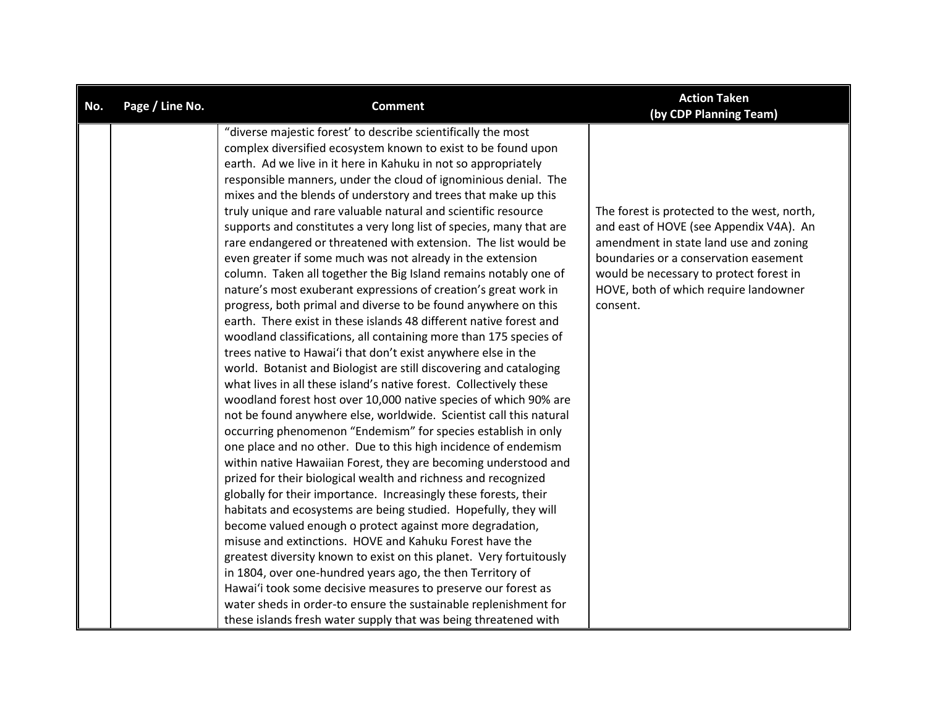| No. | Page / Line No. | <b>Comment</b>                                                                                                                    | <b>Action Taken</b><br>(by CDP Planning Team) |
|-----|-----------------|-----------------------------------------------------------------------------------------------------------------------------------|-----------------------------------------------|
|     |                 | "diverse majestic forest' to describe scientifically the most                                                                     |                                               |
|     |                 | complex diversified ecosystem known to exist to be found upon                                                                     |                                               |
|     |                 | earth. Ad we live in it here in Kahuku in not so appropriately                                                                    |                                               |
|     |                 | responsible manners, under the cloud of ignominious denial. The                                                                   |                                               |
|     |                 | mixes and the blends of understory and trees that make up this                                                                    |                                               |
|     |                 | truly unique and rare valuable natural and scientific resource                                                                    | The forest is protected to the west, north,   |
|     |                 | supports and constitutes a very long list of species, many that are                                                               | and east of HOVE (see Appendix V4A). An       |
|     |                 | rare endangered or threatened with extension. The list would be                                                                   | amendment in state land use and zoning        |
|     |                 | even greater if some much was not already in the extension                                                                        | boundaries or a conservation easement         |
|     |                 | column. Taken all together the Big Island remains notably one of                                                                  | would be necessary to protect forest in       |
|     |                 | nature's most exuberant expressions of creation's great work in                                                                   | HOVE, both of which require landowner         |
|     |                 | progress, both primal and diverse to be found anywhere on this                                                                    | consent.                                      |
|     |                 | earth. There exist in these islands 48 different native forest and                                                                |                                               |
|     |                 | woodland classifications, all containing more than 175 species of                                                                 |                                               |
|     |                 | trees native to Hawai'i that don't exist anywhere else in the                                                                     |                                               |
|     |                 | world. Botanist and Biologist are still discovering and cataloging                                                                |                                               |
|     |                 | what lives in all these island's native forest. Collectively these                                                                |                                               |
|     |                 | woodland forest host over 10,000 native species of which 90% are                                                                  |                                               |
|     |                 | not be found anywhere else, worldwide. Scientist call this natural                                                                |                                               |
|     |                 | occurring phenomenon "Endemism" for species establish in only                                                                     |                                               |
|     |                 | one place and no other. Due to this high incidence of endemism                                                                    |                                               |
|     |                 | within native Hawaiian Forest, they are becoming understood and                                                                   |                                               |
|     |                 | prized for their biological wealth and richness and recognized                                                                    |                                               |
|     |                 | globally for their importance. Increasingly these forests, their                                                                  |                                               |
|     |                 | habitats and ecosystems are being studied. Hopefully, they will                                                                   |                                               |
|     |                 | become valued enough o protect against more degradation,                                                                          |                                               |
|     |                 | misuse and extinctions. HOVE and Kahuku Forest have the                                                                           |                                               |
|     |                 | greatest diversity known to exist on this planet. Very fortuitously                                                               |                                               |
|     |                 | in 1804, over one-hundred years ago, the then Territory of                                                                        |                                               |
|     |                 | Hawai'i took some decisive measures to preserve our forest as<br>water sheds in order-to ensure the sustainable replenishment for |                                               |
|     |                 |                                                                                                                                   |                                               |
|     |                 | these islands fresh water supply that was being threatened with                                                                   |                                               |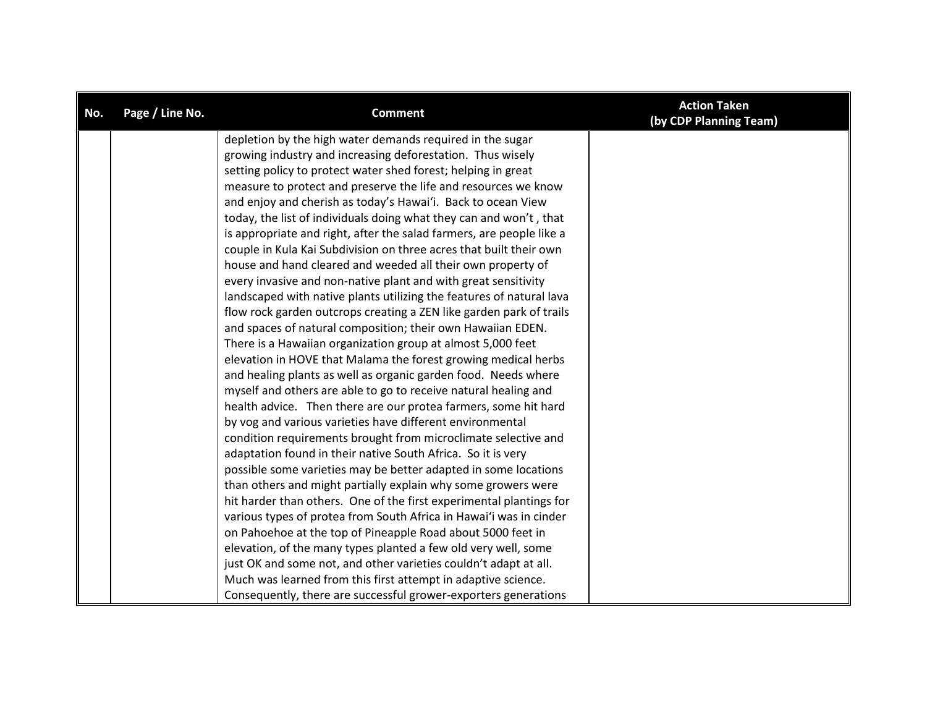| No. | Page / Line No. | <b>Comment</b>                                                       | <b>Action Taken</b><br>(by CDP Planning Team) |
|-----|-----------------|----------------------------------------------------------------------|-----------------------------------------------|
|     |                 | depletion by the high water demands required in the sugar            |                                               |
|     |                 | growing industry and increasing deforestation. Thus wisely           |                                               |
|     |                 | setting policy to protect water shed forest; helping in great        |                                               |
|     |                 | measure to protect and preserve the life and resources we know       |                                               |
|     |                 | and enjoy and cherish as today's Hawai'i. Back to ocean View         |                                               |
|     |                 | today, the list of individuals doing what they can and won't, that   |                                               |
|     |                 | is appropriate and right, after the salad farmers, are people like a |                                               |
|     |                 | couple in Kula Kai Subdivision on three acres that built their own   |                                               |
|     |                 | house and hand cleared and weeded all their own property of          |                                               |
|     |                 | every invasive and non-native plant and with great sensitivity       |                                               |
|     |                 | landscaped with native plants utilizing the features of natural lava |                                               |
|     |                 | flow rock garden outcrops creating a ZEN like garden park of trails  |                                               |
|     |                 | and spaces of natural composition; their own Hawaiian EDEN.          |                                               |
|     |                 | There is a Hawaiian organization group at almost 5,000 feet          |                                               |
|     |                 | elevation in HOVE that Malama the forest growing medical herbs       |                                               |
|     |                 | and healing plants as well as organic garden food. Needs where       |                                               |
|     |                 | myself and others are able to go to receive natural healing and      |                                               |
|     |                 | health advice. Then there are our protea farmers, some hit hard      |                                               |
|     |                 | by vog and various varieties have different environmental            |                                               |
|     |                 | condition requirements brought from microclimate selective and       |                                               |
|     |                 | adaptation found in their native South Africa. So it is very         |                                               |
|     |                 | possible some varieties may be better adapted in some locations      |                                               |
|     |                 | than others and might partially explain why some growers were        |                                               |
|     |                 | hit harder than others. One of the first experimental plantings for  |                                               |
|     |                 | various types of protea from South Africa in Hawai'i was in cinder   |                                               |
|     |                 | on Pahoehoe at the top of Pineapple Road about 5000 feet in          |                                               |
|     |                 | elevation, of the many types planted a few old very well, some       |                                               |
|     |                 | just OK and some not, and other varieties couldn't adapt at all.     |                                               |
|     |                 | Much was learned from this first attempt in adaptive science.        |                                               |
|     |                 | Consequently, there are successful grower-exporters generations      |                                               |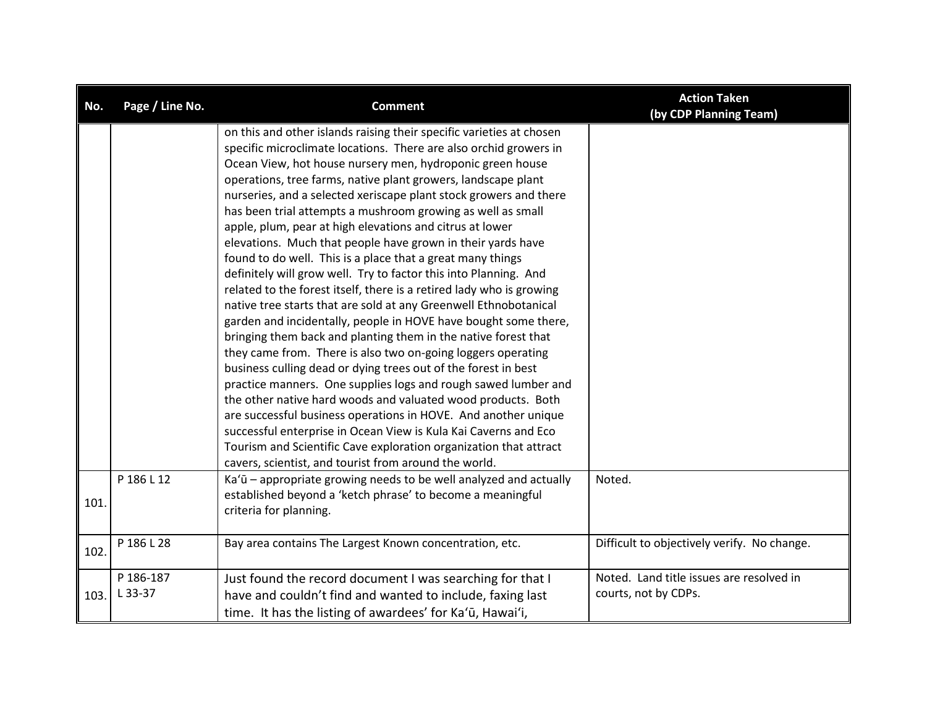| No.  | Page / Line No.      | <b>Comment</b>                                                                                                                                                                                                                                                                                                                                                                                                                                                                                                                                                                                                                                                                                                                                                                                                                                                                                                                                                                                                                                                                                                                                                                                                                                                                                                                                                                                                                                                                                   | <b>Action Taken</b><br>(by CDP Planning Team)                    |
|------|----------------------|--------------------------------------------------------------------------------------------------------------------------------------------------------------------------------------------------------------------------------------------------------------------------------------------------------------------------------------------------------------------------------------------------------------------------------------------------------------------------------------------------------------------------------------------------------------------------------------------------------------------------------------------------------------------------------------------------------------------------------------------------------------------------------------------------------------------------------------------------------------------------------------------------------------------------------------------------------------------------------------------------------------------------------------------------------------------------------------------------------------------------------------------------------------------------------------------------------------------------------------------------------------------------------------------------------------------------------------------------------------------------------------------------------------------------------------------------------------------------------------------------|------------------------------------------------------------------|
|      |                      | on this and other islands raising their specific varieties at chosen<br>specific microclimate locations. There are also orchid growers in<br>Ocean View, hot house nursery men, hydroponic green house<br>operations, tree farms, native plant growers, landscape plant<br>nurseries, and a selected xeriscape plant stock growers and there<br>has been trial attempts a mushroom growing as well as small<br>apple, plum, pear at high elevations and citrus at lower<br>elevations. Much that people have grown in their yards have<br>found to do well. This is a place that a great many things<br>definitely will grow well. Try to factor this into Planning. And<br>related to the forest itself, there is a retired lady who is growing<br>native tree starts that are sold at any Greenwell Ethnobotanical<br>garden and incidentally, people in HOVE have bought some there,<br>bringing them back and planting them in the native forest that<br>they came from. There is also two on-going loggers operating<br>business culling dead or dying trees out of the forest in best<br>practice manners. One supplies logs and rough sawed lumber and<br>the other native hard woods and valuated wood products. Both<br>are successful business operations in HOVE. And another unique<br>successful enterprise in Ocean View is Kula Kai Caverns and Eco<br>Tourism and Scientific Cave exploration organization that attract<br>cavers, scientist, and tourist from around the world. |                                                                  |
| 101. | P 186 L 12           | Ka'ū - appropriate growing needs to be well analyzed and actually<br>established beyond a 'ketch phrase' to become a meaningful<br>criteria for planning.                                                                                                                                                                                                                                                                                                                                                                                                                                                                                                                                                                                                                                                                                                                                                                                                                                                                                                                                                                                                                                                                                                                                                                                                                                                                                                                                        | Noted.                                                           |
| 102. | P 186 L 28           | Bay area contains The Largest Known concentration, etc.                                                                                                                                                                                                                                                                                                                                                                                                                                                                                                                                                                                                                                                                                                                                                                                                                                                                                                                                                                                                                                                                                                                                                                                                                                                                                                                                                                                                                                          | Difficult to objectively verify. No change.                      |
| 103. | P 186-187<br>L 33-37 | Just found the record document I was searching for that I<br>have and couldn't find and wanted to include, faxing last<br>time. It has the listing of awardees' for Ka'ū, Hawai'i,                                                                                                                                                                                                                                                                                                                                                                                                                                                                                                                                                                                                                                                                                                                                                                                                                                                                                                                                                                                                                                                                                                                                                                                                                                                                                                               | Noted. Land title issues are resolved in<br>courts, not by CDPs. |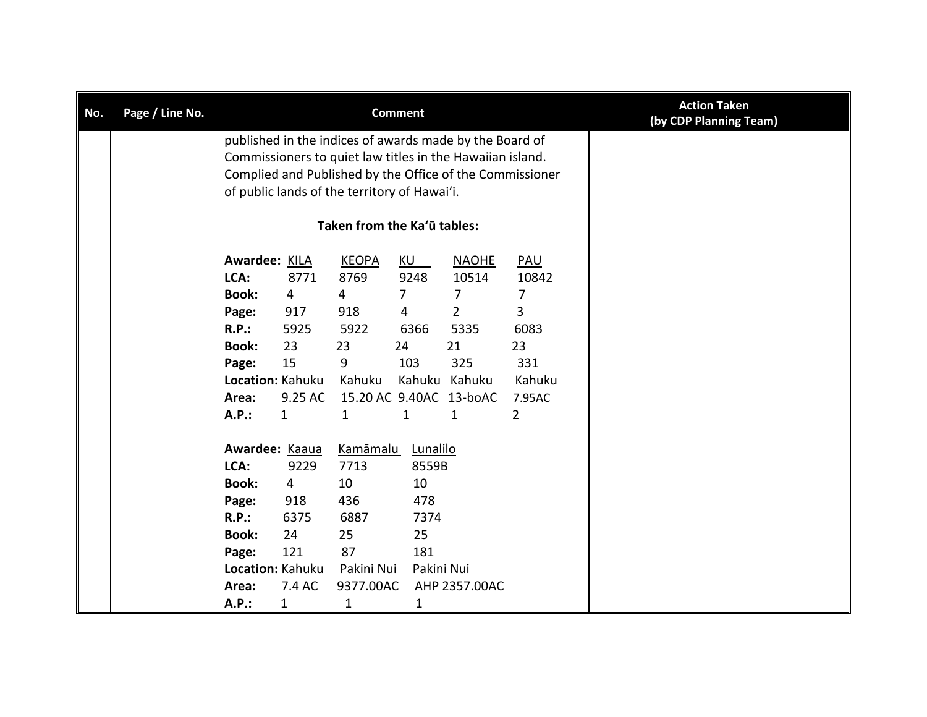| No. | Page / Line No. |                                              |                  |                   | <b>Comment</b> | <b>Action Taken</b><br>(by CDP Planning Team)             |                |  |
|-----|-----------------|----------------------------------------------|------------------|-------------------|----------------|-----------------------------------------------------------|----------------|--|
|     |                 |                                              |                  |                   |                | published in the indices of awards made by the Board of   |                |  |
|     |                 |                                              |                  |                   |                | Commissioners to quiet law titles in the Hawaiian island. |                |  |
|     |                 |                                              |                  |                   |                | Complied and Published by the Office of the Commissioner  |                |  |
|     |                 | of public lands of the territory of Hawai'i. |                  |                   |                |                                                           |                |  |
|     |                 | Taken from the Ka'ū tables:                  |                  |                   |                |                                                           |                |  |
|     |                 | Awardee: KILA                                |                  | <b>KEOPA</b>      | KU             | <b>NAOHE</b>                                              | <b>PAU</b>     |  |
|     |                 | LCA:                                         | 8771             | 8769              | 9248           | 10514                                                     | 10842          |  |
|     |                 | <b>Book:</b>                                 | 4                | 4                 | 7              | 7                                                         | 7              |  |
|     |                 | Page:                                        | 917              | 918               | 4              | $\overline{2}$                                            | $\overline{3}$ |  |
|     |                 | R.P.:                                        | 5925             | 5922              | 6366           | 5335                                                      | 6083           |  |
|     |                 | <b>Book:</b>                                 | 23               | 23                | 24             | 21                                                        | 23             |  |
|     |                 | Page:                                        | 15               | 9                 | 103            | 325                                                       | 331            |  |
|     |                 |                                              | Location: Kahuku | Kahuku            |                | Kahuku Kahuku                                             | Kahuku         |  |
|     |                 | Area:                                        | 9.25 AC          |                   |                | 15.20 AC 9.40AC 13-boAC                                   | 7.95AC         |  |
|     |                 | A.P.:                                        | $\mathbf{1}$     | 1                 | $\mathbf{1}$   | $\mathbf{1}$                                              | $\overline{2}$ |  |
|     |                 | Awardee: Kaaua                               |                  | Kamāmalu Lunalilo |                |                                                           |                |  |
|     |                 | LCA:                                         | 9229             | 7713              | 8559B          |                                                           |                |  |
|     |                 | <b>Book:</b>                                 | 4                | 10                | 10             |                                                           |                |  |
|     |                 | Page:                                        | 918              | 436               | 478            |                                                           |                |  |
|     |                 | <b>R.P.:</b>                                 | 6375             | 6887              | 7374           |                                                           |                |  |
|     |                 | <b>Book:</b>                                 | 24               | 25                | 25             |                                                           |                |  |
|     |                 | Page:                                        | 121              | 87                | 181            |                                                           |                |  |
|     |                 |                                              | Location: Kahuku | Pakini Nui        | Pakini Nui     |                                                           |                |  |
|     |                 | Area:                                        | 7.4 AC           | 9377.00AC         |                | AHP 2357.00AC                                             |                |  |
|     |                 | A.P.:                                        | $\mathbf{1}$     | $\mathbf{1}$      | 1              |                                                           |                |  |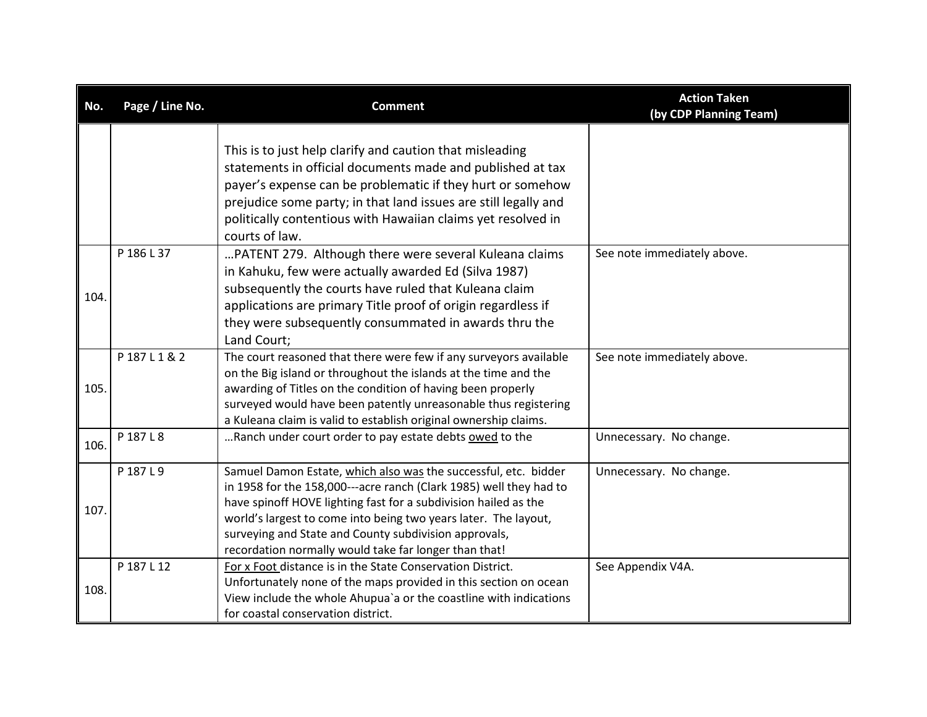| No.  | Page / Line No. | <b>Comment</b>                                                                                                                                                                                                                                                                                                                                                                                | <b>Action Taken</b><br>(by CDP Planning Team) |
|------|-----------------|-----------------------------------------------------------------------------------------------------------------------------------------------------------------------------------------------------------------------------------------------------------------------------------------------------------------------------------------------------------------------------------------------|-----------------------------------------------|
|      |                 | This is to just help clarify and caution that misleading<br>statements in official documents made and published at tax<br>payer's expense can be problematic if they hurt or somehow<br>prejudice some party; in that land issues are still legally and<br>politically contentious with Hawaiian claims yet resolved in<br>courts of law.                                                     |                                               |
| 104. | P 186 L 37      | PATENT 279. Although there were several Kuleana claims<br>in Kahuku, few were actually awarded Ed (Silva 1987)<br>subsequently the courts have ruled that Kuleana claim<br>applications are primary Title proof of origin regardless if<br>they were subsequently consummated in awards thru the<br>Land Court;                                                                               | See note immediately above.                   |
| 105. | P187L1&2        | The court reasoned that there were few if any surveyors available<br>on the Big island or throughout the islands at the time and the<br>awarding of Titles on the condition of having been properly<br>surveyed would have been patently unreasonable thus registering<br>a Kuleana claim is valid to establish original ownership claims.                                                    | See note immediately above.                   |
| 106. | P 187 L 8       | Ranch under court order to pay estate debts owed to the                                                                                                                                                                                                                                                                                                                                       | Unnecessary. No change.                       |
| 107. | P 187 L 9       | Samuel Damon Estate, which also was the successful, etc. bidder<br>in 1958 for the 158,000---acre ranch (Clark 1985) well they had to<br>have spinoff HOVE lighting fast for a subdivision hailed as the<br>world's largest to come into being two years later. The layout,<br>surveying and State and County subdivision approvals,<br>recordation normally would take far longer than that! | Unnecessary. No change.                       |
| 108. | P 187 L 12      | For x Foot distance is in the State Conservation District.<br>Unfortunately none of the maps provided in this section on ocean<br>View include the whole Ahupua'a or the coastline with indications<br>for coastal conservation district.                                                                                                                                                     | See Appendix V4A.                             |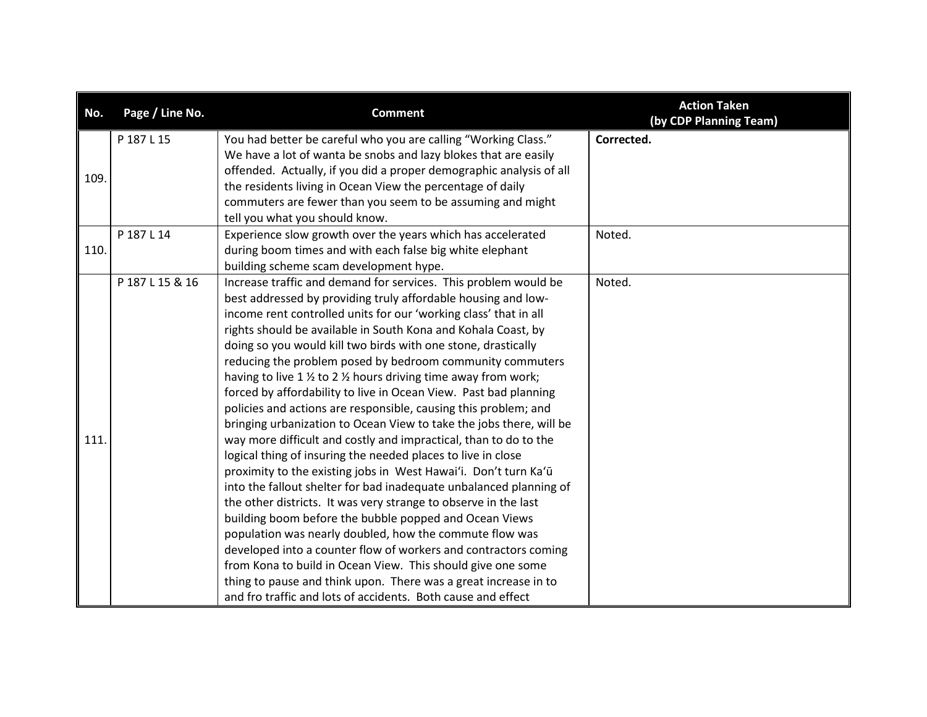| No.  | Page / Line No. | <b>Comment</b>                                                                       | <b>Action Taken</b><br>(by CDP Planning Team) |
|------|-----------------|--------------------------------------------------------------------------------------|-----------------------------------------------|
|      | P 187 L 15      | You had better be careful who you are calling "Working Class."                       | Corrected.                                    |
|      |                 | We have a lot of wanta be snobs and lazy blokes that are easily                      |                                               |
| 109. |                 | offended. Actually, if you did a proper demographic analysis of all                  |                                               |
|      |                 | the residents living in Ocean View the percentage of daily                           |                                               |
|      |                 | commuters are fewer than you seem to be assuming and might                           |                                               |
|      |                 | tell you what you should know.                                                       |                                               |
|      | P 187 L 14      | Experience slow growth over the years which has accelerated                          | Noted.                                        |
| 110. |                 | during boom times and with each false big white elephant                             |                                               |
|      |                 | building scheme scam development hype.                                               |                                               |
|      | P 187 L 15 & 16 | Increase traffic and demand for services. This problem would be                      | Noted.                                        |
|      |                 | best addressed by providing truly affordable housing and low-                        |                                               |
|      |                 | income rent controlled units for our 'working class' that in all                     |                                               |
|      |                 | rights should be available in South Kona and Kohala Coast, by                        |                                               |
|      |                 | doing so you would kill two birds with one stone, drastically                        |                                               |
|      |                 | reducing the problem posed by bedroom community commuters                            |                                               |
|      |                 | having to live 1 $\frac{1}{2}$ to 2 $\frac{1}{2}$ hours driving time away from work; |                                               |
|      |                 | forced by affordability to live in Ocean View. Past bad planning                     |                                               |
|      |                 | policies and actions are responsible, causing this problem; and                      |                                               |
|      |                 | bringing urbanization to Ocean View to take the jobs there, will be                  |                                               |
| 111. |                 | way more difficult and costly and impractical, than to do to the                     |                                               |
|      |                 | logical thing of insuring the needed places to live in close                         |                                               |
|      |                 | proximity to the existing jobs in West Hawai'i. Don't turn Ka'ū                      |                                               |
|      |                 | into the fallout shelter for bad inadequate unbalanced planning of                   |                                               |
|      |                 | the other districts. It was very strange to observe in the last                      |                                               |
|      |                 | building boom before the bubble popped and Ocean Views                               |                                               |
|      |                 | population was nearly doubled, how the commute flow was                              |                                               |
|      |                 | developed into a counter flow of workers and contractors coming                      |                                               |
|      |                 | from Kona to build in Ocean View. This should give one some                          |                                               |
|      |                 | thing to pause and think upon. There was a great increase in to                      |                                               |
|      |                 | and fro traffic and lots of accidents. Both cause and effect                         |                                               |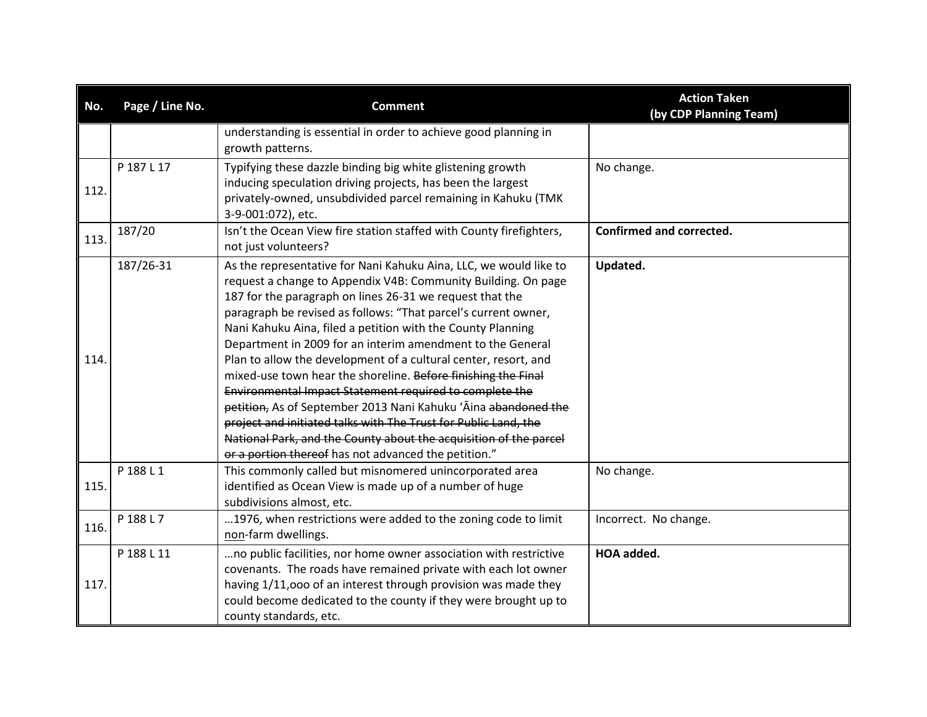| No.  | Page / Line No. | <b>Comment</b>                                                                                                                                                                                                                                                                                                                                                                                                                                                                                                                                                                                                                                                                                                                                                                                                                                                 | <b>Action Taken</b><br>(by CDP Planning Team) |
|------|-----------------|----------------------------------------------------------------------------------------------------------------------------------------------------------------------------------------------------------------------------------------------------------------------------------------------------------------------------------------------------------------------------------------------------------------------------------------------------------------------------------------------------------------------------------------------------------------------------------------------------------------------------------------------------------------------------------------------------------------------------------------------------------------------------------------------------------------------------------------------------------------|-----------------------------------------------|
|      |                 | understanding is essential in order to achieve good planning in<br>growth patterns.                                                                                                                                                                                                                                                                                                                                                                                                                                                                                                                                                                                                                                                                                                                                                                            |                                               |
| 112. | P 187 L 17      | Typifying these dazzle binding big white glistening growth<br>inducing speculation driving projects, has been the largest<br>privately-owned, unsubdivided parcel remaining in Kahuku (TMK<br>3-9-001:072), etc.                                                                                                                                                                                                                                                                                                                                                                                                                                                                                                                                                                                                                                               | No change.                                    |
| 113. | 187/20          | Isn't the Ocean View fire station staffed with County firefighters,<br>not just volunteers?                                                                                                                                                                                                                                                                                                                                                                                                                                                                                                                                                                                                                                                                                                                                                                    | Confirmed and corrected.                      |
| 114. | 187/26-31       | As the representative for Nani Kahuku Aina, LLC, we would like to<br>request a change to Appendix V4B: Community Building. On page<br>187 for the paragraph on lines 26-31 we request that the<br>paragraph be revised as follows: "That parcel's current owner,<br>Nani Kahuku Aina, filed a petition with the County Planning<br>Department in 2009 for an interim amendment to the General<br>Plan to allow the development of a cultural center, resort, and<br>mixed-use town hear the shoreline. Before finishing the Final<br>Environmental Impact Statement required to complete the<br>petition, As of September 2013 Nani Kahuku 'Āina abandoned the<br>project and initiated talks with The Trust for Public Land, the<br>National Park, and the County about the acquisition of the parcel<br>or a portion thereof has not advanced the petition." | Updated.                                      |
| 115. | P 188 L 1       | This commonly called but misnomered unincorporated area<br>identified as Ocean View is made up of a number of huge<br>subdivisions almost, etc.                                                                                                                                                                                                                                                                                                                                                                                                                                                                                                                                                                                                                                                                                                                | No change.                                    |
| 116. | P 188 L 7       | 1976, when restrictions were added to the zoning code to limit<br>non-farm dwellings.                                                                                                                                                                                                                                                                                                                                                                                                                                                                                                                                                                                                                                                                                                                                                                          | Incorrect. No change.                         |
| 117. | P 188 L 11      | no public facilities, nor home owner association with restrictive<br>covenants. The roads have remained private with each lot owner<br>having 1/11,000 of an interest through provision was made they<br>could become dedicated to the county if they were brought up to<br>county standards, etc.                                                                                                                                                                                                                                                                                                                                                                                                                                                                                                                                                             | <b>HOA</b> added.                             |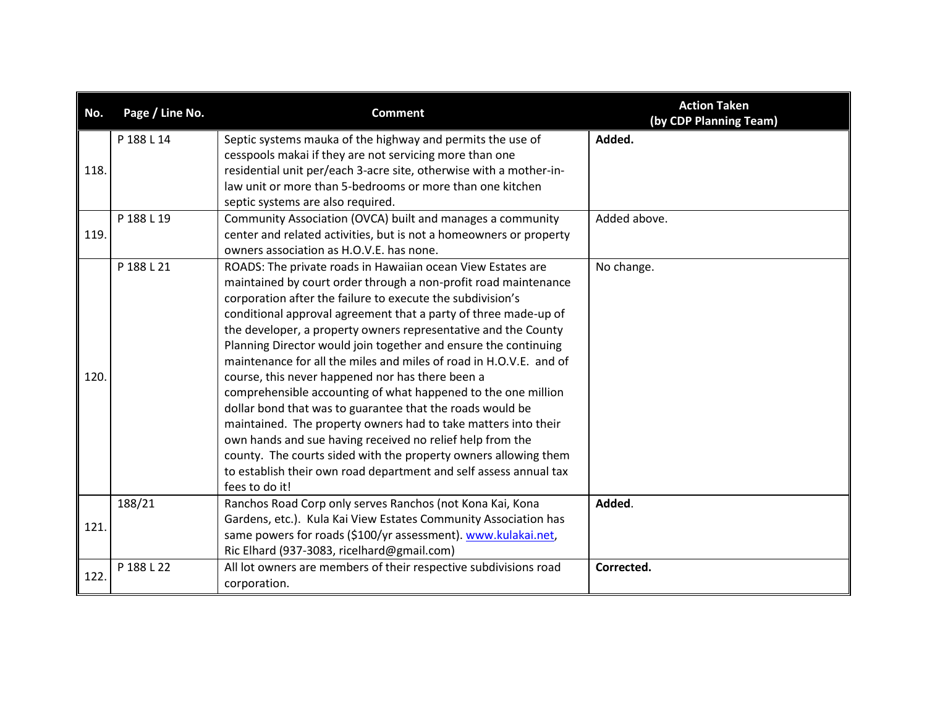| No.  | Page / Line No. | <b>Comment</b>                                                     | <b>Action Taken</b><br>(by CDP Planning Team) |
|------|-----------------|--------------------------------------------------------------------|-----------------------------------------------|
|      | P 188 L 14      | Septic systems mauka of the highway and permits the use of         | Added.                                        |
|      |                 | cesspools makai if they are not servicing more than one            |                                               |
| 118. |                 | residential unit per/each 3-acre site, otherwise with a mother-in- |                                               |
|      |                 | law unit or more than 5-bedrooms or more than one kitchen          |                                               |
|      |                 | septic systems are also required.                                  |                                               |
|      | P 188 L 19      | Community Association (OVCA) built and manages a community         | Added above.                                  |
| 119. |                 | center and related activities, but is not a homeowners or property |                                               |
|      |                 | owners association as H.O.V.E. has none.                           |                                               |
|      | P 188 L 21      | ROADS: The private roads in Hawaiian ocean View Estates are        | No change.                                    |
|      |                 | maintained by court order through a non-profit road maintenance    |                                               |
|      |                 | corporation after the failure to execute the subdivision's         |                                               |
|      |                 | conditional approval agreement that a party of three made-up of    |                                               |
|      |                 | the developer, a property owners representative and the County     |                                               |
|      |                 | Planning Director would join together and ensure the continuing    |                                               |
|      |                 | maintenance for all the miles and miles of road in H.O.V.E. and of |                                               |
| 120. |                 | course, this never happened nor has there been a                   |                                               |
|      |                 | comprehensible accounting of what happened to the one million      |                                               |
|      |                 | dollar bond that was to guarantee that the roads would be          |                                               |
|      |                 | maintained. The property owners had to take matters into their     |                                               |
|      |                 | own hands and sue having received no relief help from the          |                                               |
|      |                 | county. The courts sided with the property owners allowing them    |                                               |
|      |                 | to establish their own road department and self assess annual tax  |                                               |
|      |                 | fees to do it!                                                     |                                               |
|      | 188/21          | Ranchos Road Corp only serves Ranchos (not Kona Kai, Kona          | Added.                                        |
| 121. |                 | Gardens, etc.). Kula Kai View Estates Community Association has    |                                               |
|      |                 | same powers for roads (\$100/yr assessment). www.kulakai.net,      |                                               |
|      |                 | Ric Elhard (937-3083, ricelhard@gmail.com)                         |                                               |
| 122. | P 188 L 22      | All lot owners are members of their respective subdivisions road   | Corrected.                                    |
|      |                 | corporation.                                                       |                                               |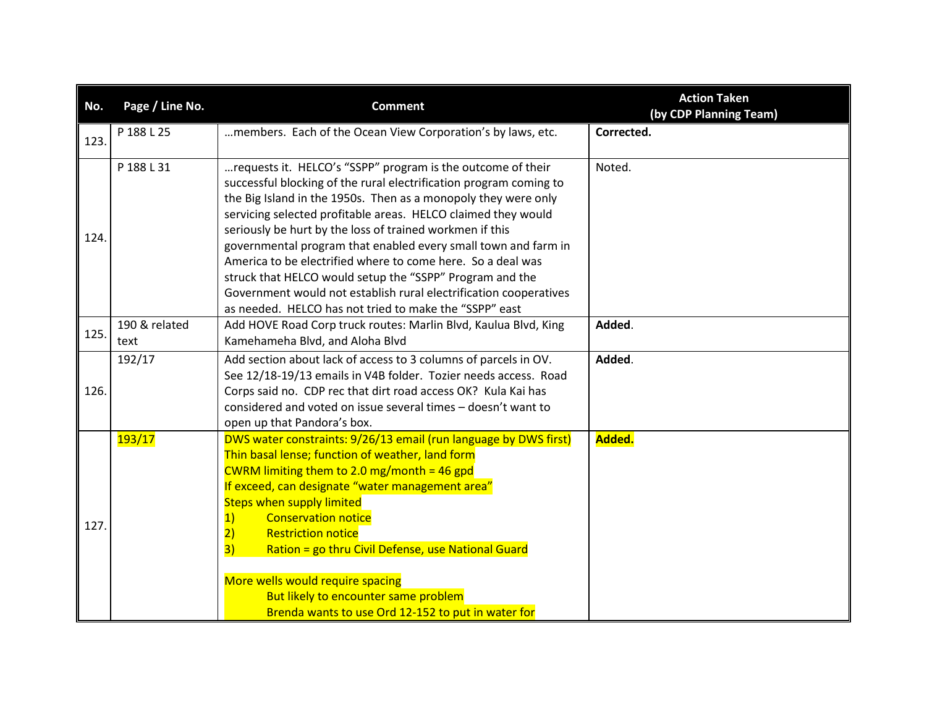| No.  | Page / Line No.             | <b>Comment</b>                                                                                                                                                                                                                                                                                                                                                                                                                                                                                                                                                                                                                                                                                                                  | <b>Action Taken</b><br>(by CDP Planning Team) |
|------|-----------------------------|---------------------------------------------------------------------------------------------------------------------------------------------------------------------------------------------------------------------------------------------------------------------------------------------------------------------------------------------------------------------------------------------------------------------------------------------------------------------------------------------------------------------------------------------------------------------------------------------------------------------------------------------------------------------------------------------------------------------------------|-----------------------------------------------|
| 123. | P 188 L 25                  | members. Each of the Ocean View Corporation's by laws, etc.                                                                                                                                                                                                                                                                                                                                                                                                                                                                                                                                                                                                                                                                     | Corrected.                                    |
| 124. | P 188 L 31<br>190 & related | requests it. HELCO's "SSPP" program is the outcome of their<br>successful blocking of the rural electrification program coming to<br>the Big Island in the 1950s. Then as a monopoly they were only<br>servicing selected profitable areas. HELCO claimed they would<br>seriously be hurt by the loss of trained workmen if this<br>governmental program that enabled every small town and farm in<br>America to be electrified where to come here. So a deal was<br>struck that HELCO would setup the "SSPP" Program and the<br>Government would not establish rural electrification cooperatives<br>as needed. HELCO has not tried to make the "SSPP" east<br>Add HOVE Road Corp truck routes: Marlin Blvd, Kaulua Blvd, King | Noted.<br>Added.                              |
| 125. | text                        | Kamehameha Blvd, and Aloha Blvd                                                                                                                                                                                                                                                                                                                                                                                                                                                                                                                                                                                                                                                                                                 |                                               |
| 126. | 192/17                      | Add section about lack of access to 3 columns of parcels in OV.<br>See 12/18-19/13 emails in V4B folder. Tozier needs access. Road<br>Corps said no. CDP rec that dirt road access OK? Kula Kai has<br>considered and voted on issue several times - doesn't want to<br>open up that Pandora's box.                                                                                                                                                                                                                                                                                                                                                                                                                             | Added.                                        |
| 127. | <b>193/17</b>               | DWS water constraints: 9/26/13 email (run language by DWS first)<br>Thin basal lense; function of weather, land form<br>CWRM limiting them to 2.0 mg/month = 46 gpd<br>If exceed, can designate "water management area"<br><b>Steps when supply limited</b><br><b>Conservation notice</b><br>$\vert$ 1)<br><b>Restriction notice</b><br>$\overline{2}$<br>Ration = go thru Civil Defense, use National Guard<br>3)<br>More wells would require spacing<br>But likely to encounter same problem<br>Brenda wants to use Ord 12-152 to put in water for                                                                                                                                                                            | Added.                                        |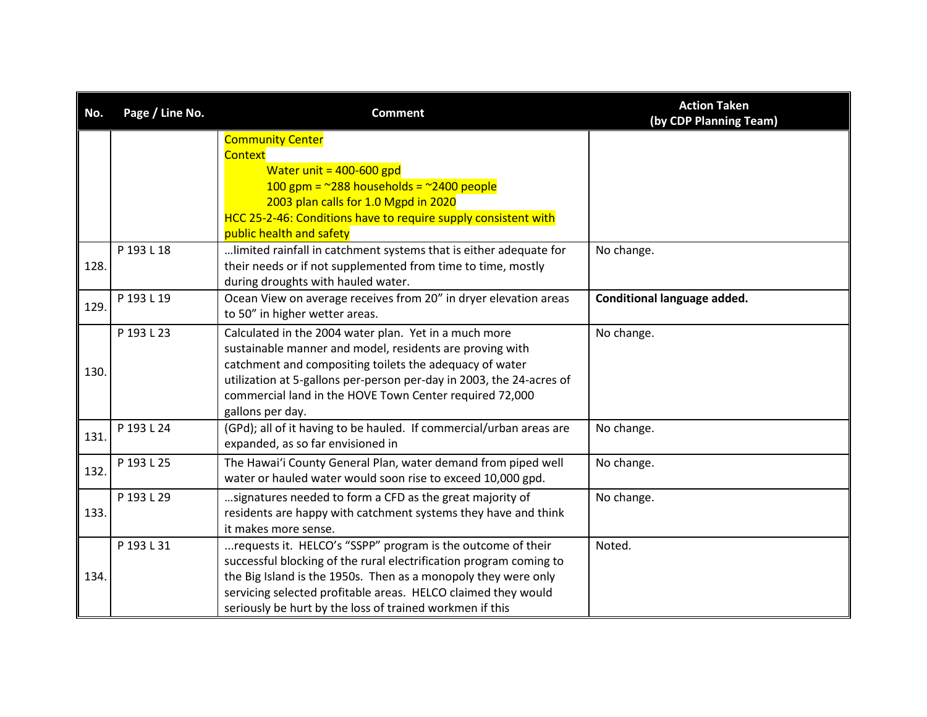| No.  | Page / Line No. | <b>Comment</b>                                                                                                                                                                                                                                                                                                                      | <b>Action Taken</b><br>(by CDP Planning Team) |
|------|-----------------|-------------------------------------------------------------------------------------------------------------------------------------------------------------------------------------------------------------------------------------------------------------------------------------------------------------------------------------|-----------------------------------------------|
|      |                 | <b>Community Center</b><br><b>Context</b><br>Water unit = $400 - 600$ gpd<br>100 gpm = $\approx$ 288 households = $\approx$ 2400 people<br>2003 plan calls for 1.0 Mgpd in 2020<br>HCC 25-2-46: Conditions have to require supply consistent with<br>public health and safety                                                       |                                               |
| 128. | P 193 L 18      | limited rainfall in catchment systems that is either adequate for<br>their needs or if not supplemented from time to time, mostly<br>during droughts with hauled water.                                                                                                                                                             | No change.                                    |
| 129. | P 193 L 19      | Ocean View on average receives from 20" in dryer elevation areas<br>to 50" in higher wetter areas.                                                                                                                                                                                                                                  | Conditional language added.                   |
| 130. | P 193 L 23      | Calculated in the 2004 water plan. Yet in a much more<br>sustainable manner and model, residents are proving with<br>catchment and compositing toilets the adequacy of water<br>utilization at 5-gallons per-person per-day in 2003, the 24-acres of<br>commercial land in the HOVE Town Center required 72,000<br>gallons per day. | No change.                                    |
| 131. | P 193 L 24      | (GPd); all of it having to be hauled. If commercial/urban areas are<br>expanded, as so far envisioned in                                                                                                                                                                                                                            | No change.                                    |
| 132. | P 193 L 25      | The Hawai'i County General Plan, water demand from piped well<br>water or hauled water would soon rise to exceed 10,000 gpd.                                                                                                                                                                                                        | No change.                                    |
| 133. | P 193 L 29      | signatures needed to form a CFD as the great majority of<br>residents are happy with catchment systems they have and think<br>it makes more sense.                                                                                                                                                                                  | No change.                                    |
| 134. | P 193 L 31      | requests it. HELCO's "SSPP" program is the outcome of their<br>successful blocking of the rural electrification program coming to<br>the Big Island is the 1950s. Then as a monopoly they were only<br>servicing selected profitable areas. HELCO claimed they would<br>seriously be hurt by the loss of trained workmen if this    | Noted.                                        |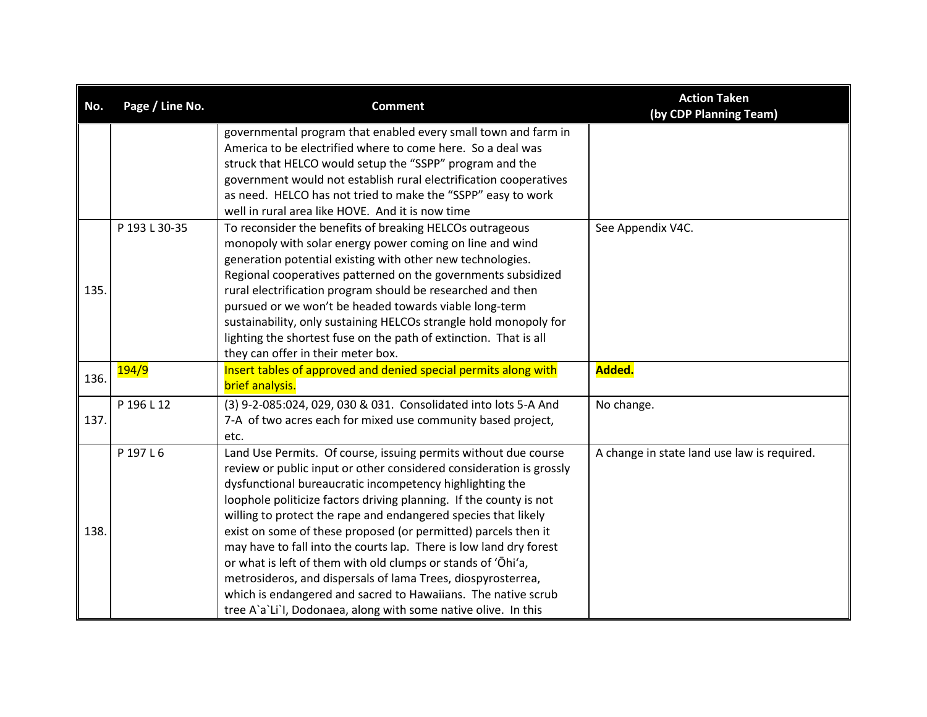| No.  | Page / Line No. | <b>Comment</b>                                                                                        | <b>Action Taken</b><br>(by CDP Planning Team) |
|------|-----------------|-------------------------------------------------------------------------------------------------------|-----------------------------------------------|
|      |                 | governmental program that enabled every small town and farm in                                        |                                               |
|      |                 | America to be electrified where to come here. So a deal was                                           |                                               |
|      |                 | struck that HELCO would setup the "SSPP" program and the                                              |                                               |
|      |                 | government would not establish rural electrification cooperatives                                     |                                               |
|      |                 | as need. HELCO has not tried to make the "SSPP" easy to work                                          |                                               |
|      |                 | well in rural area like HOVE. And it is now time                                                      |                                               |
|      | P 193 L 30-35   | To reconsider the benefits of breaking HELCOs outrageous                                              | See Appendix V4C.                             |
|      |                 | monopoly with solar energy power coming on line and wind                                              |                                               |
|      |                 | generation potential existing with other new technologies.                                            |                                               |
|      |                 | Regional cooperatives patterned on the governments subsidized                                         |                                               |
| 135. |                 | rural electrification program should be researched and then                                           |                                               |
|      |                 | pursued or we won't be headed towards viable long-term                                                |                                               |
|      |                 | sustainability, only sustaining HELCOs strangle hold monopoly for                                     |                                               |
|      |                 | lighting the shortest fuse on the path of extinction. That is all                                     |                                               |
|      | 194/9           | they can offer in their meter box.<br>Insert tables of approved and denied special permits along with | Added.                                        |
| 136. |                 | brief analysis.                                                                                       |                                               |
|      |                 |                                                                                                       |                                               |
|      | P 196 L 12      | (3) 9-2-085:024, 029, 030 & 031. Consolidated into lots 5-A And                                       | No change.                                    |
| 137. |                 | 7-A of two acres each for mixed use community based project,                                          |                                               |
|      |                 | etc.                                                                                                  |                                               |
|      | P 197 L 6       | Land Use Permits. Of course, issuing permits without due course                                       | A change in state land use law is required.   |
|      |                 | review or public input or other considered consideration is grossly                                   |                                               |
|      |                 | dysfunctional bureaucratic incompetency highlighting the                                              |                                               |
|      |                 | loophole politicize factors driving planning. If the county is not                                    |                                               |
|      |                 | willing to protect the rape and endangered species that likely                                        |                                               |
| 138. |                 | exist on some of these proposed (or permitted) parcels then it                                        |                                               |
|      |                 | may have to fall into the courts lap. There is low land dry forest                                    |                                               |
|      |                 | or what is left of them with old clumps or stands of 'Ohi'a,                                          |                                               |
|      |                 | metrosideros, and dispersals of lama Trees, diospyrosterrea,                                          |                                               |
|      |                 | which is endangered and sacred to Hawaiians. The native scrub                                         |                                               |
|      |                 | tree A'a'Li'l, Dodonaea, along with some native olive. In this                                        |                                               |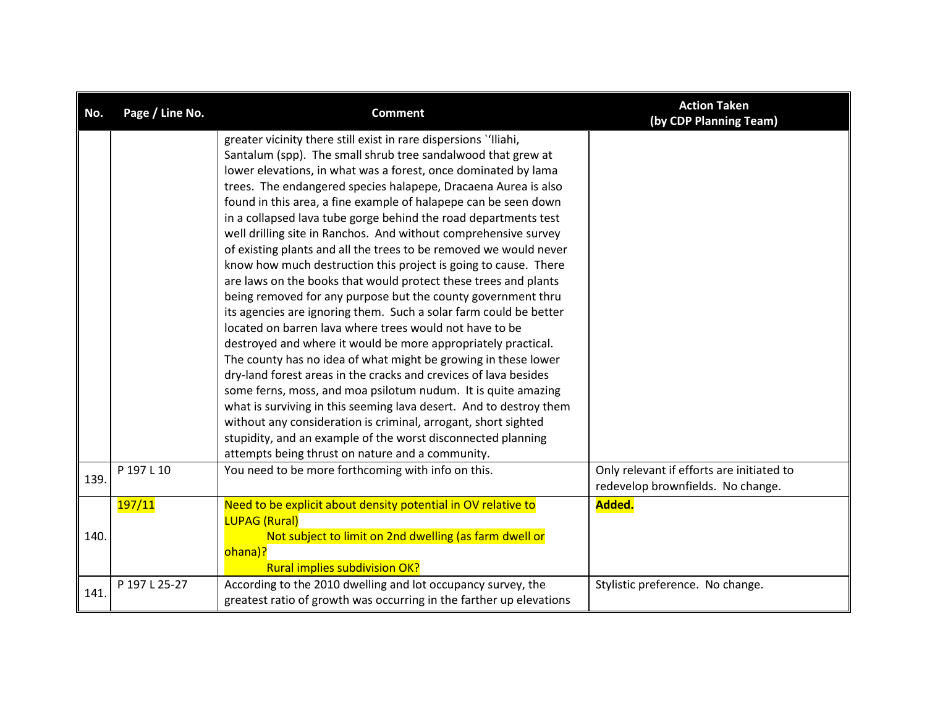| No.  | Page / Line No. | <b>Comment</b>                                                                                                                                                                                                                                                                                                                                                                                                                                                                                                                                                                                                                                                                                                                                                                                                                                                                                                                                                                                                                                                                                                                                                                                                                                                                                                                                                          | <b>Action Taken</b><br>(by CDP Planning Team)                                  |
|------|-----------------|-------------------------------------------------------------------------------------------------------------------------------------------------------------------------------------------------------------------------------------------------------------------------------------------------------------------------------------------------------------------------------------------------------------------------------------------------------------------------------------------------------------------------------------------------------------------------------------------------------------------------------------------------------------------------------------------------------------------------------------------------------------------------------------------------------------------------------------------------------------------------------------------------------------------------------------------------------------------------------------------------------------------------------------------------------------------------------------------------------------------------------------------------------------------------------------------------------------------------------------------------------------------------------------------------------------------------------------------------------------------------|--------------------------------------------------------------------------------|
|      |                 | greater vicinity there still exist in rare dispersions "Iliahi,<br>Santalum (spp). The small shrub tree sandalwood that grew at<br>lower elevations, in what was a forest, once dominated by lama<br>trees. The endangered species halapepe, Dracaena Aurea is also<br>found in this area, a fine example of halapepe can be seen down<br>in a collapsed lava tube gorge behind the road departments test<br>well drilling site in Ranchos. And without comprehensive survey<br>of existing plants and all the trees to be removed we would never<br>know how much destruction this project is going to cause. There<br>are laws on the books that would protect these trees and plants<br>being removed for any purpose but the county government thru<br>its agencies are ignoring them. Such a solar farm could be better<br>located on barren lava where trees would not have to be<br>destroyed and where it would be more appropriately practical.<br>The county has no idea of what might be growing in these lower<br>dry-land forest areas in the cracks and crevices of lava besides<br>some ferns, moss, and moa psilotum nudum. It is quite amazing<br>what is surviving in this seeming lava desert. And to destroy them<br>without any consideration is criminal, arrogant, short sighted<br>stupidity, and an example of the worst disconnected planning |                                                                                |
| 139. | P 197 L 10      | attempts being thrust on nature and a community.<br>You need to be more forthcoming with info on this.                                                                                                                                                                                                                                                                                                                                                                                                                                                                                                                                                                                                                                                                                                                                                                                                                                                                                                                                                                                                                                                                                                                                                                                                                                                                  | Only relevant if efforts are initiated to<br>redevelop brownfields. No change. |
| 140. | 197/11          | Need to be explicit about density potential in OV relative to<br><b>LUPAG (Rural)</b><br>Not subject to limit on 2nd dwelling (as farm dwell or<br>ohana)?<br><b>Rural implies subdivision OK?</b>                                                                                                                                                                                                                                                                                                                                                                                                                                                                                                                                                                                                                                                                                                                                                                                                                                                                                                                                                                                                                                                                                                                                                                      | Added.                                                                         |
| 141. | P 197 L 25-27   | According to the 2010 dwelling and lot occupancy survey, the<br>greatest ratio of growth was occurring in the farther up elevations                                                                                                                                                                                                                                                                                                                                                                                                                                                                                                                                                                                                                                                                                                                                                                                                                                                                                                                                                                                                                                                                                                                                                                                                                                     | Stylistic preference. No change.                                               |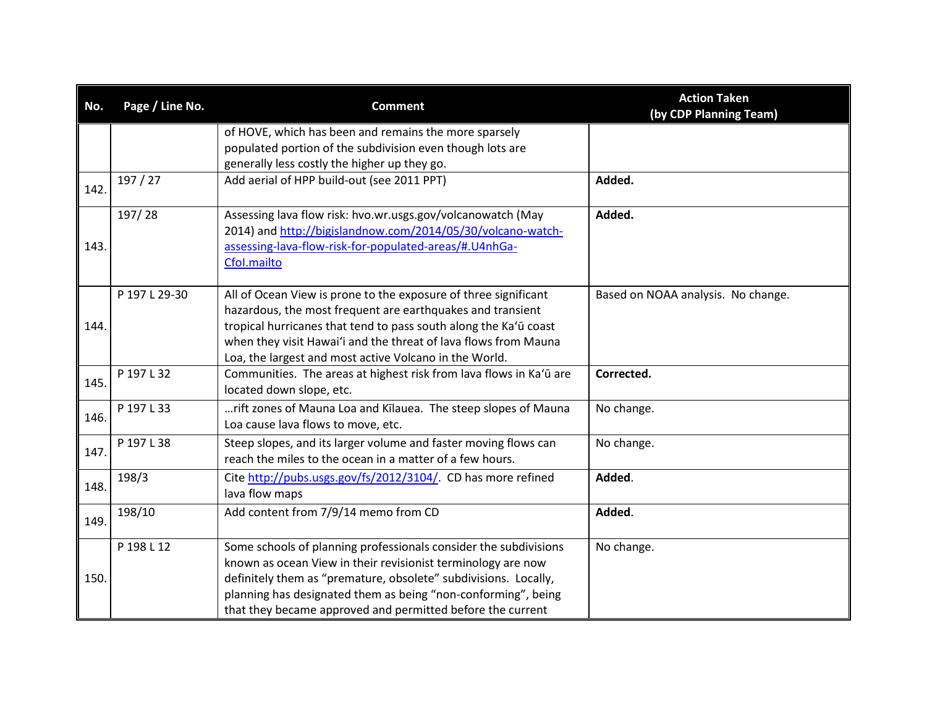| No.  | Page / Line No. | <b>Comment</b>                                                                                                                                                                                                                                                                                                                     | <b>Action Taken</b><br>(by CDP Planning Team) |
|------|-----------------|------------------------------------------------------------------------------------------------------------------------------------------------------------------------------------------------------------------------------------------------------------------------------------------------------------------------------------|-----------------------------------------------|
|      |                 | of HOVE, which has been and remains the more sparsely<br>populated portion of the subdivision even though lots are<br>generally less costly the higher up they go.                                                                                                                                                                 |                                               |
| 142. | 197/27          | Add aerial of HPP build-out (see 2011 PPT)                                                                                                                                                                                                                                                                                         | Added.                                        |
| 143. | 197/28          | Assessing lava flow risk: hvo.wr.usgs.gov/volcanowatch (May<br>2014) and http://bigislandnow.com/2014/05/30/volcano-watch-<br>assessing-lava-flow-risk-for-populated-areas/#.U4nhGa-<br>Cfol.mailto                                                                                                                                | Added.                                        |
| 144. | P 197 L 29-30   | All of Ocean View is prone to the exposure of three significant<br>hazardous, the most frequent are earthquakes and transient<br>tropical hurricanes that tend to pass south along the Ka'ū coast<br>when they visit Hawai'i and the threat of lava flows from Mauna<br>Loa, the largest and most active Volcano in the World.     | Based on NOAA analysis. No change.            |
| 145. | P 197 L 32      | Communities. The areas at highest risk from lava flows in Ka'ū are<br>located down slope, etc.                                                                                                                                                                                                                                     | Corrected.                                    |
| 146. | P 197 L 33      | rift zones of Mauna Loa and Kilauea. The steep slopes of Mauna<br>Loa cause lava flows to move, etc.                                                                                                                                                                                                                               | No change.                                    |
| 147. | P 197 L 38      | Steep slopes, and its larger volume and faster moving flows can<br>reach the miles to the ocean in a matter of a few hours.                                                                                                                                                                                                        | No change.                                    |
| 148. | 198/3           | Cite http://pubs.usgs.gov/fs/2012/3104/. CD has more refined<br>lava flow maps                                                                                                                                                                                                                                                     | Added.                                        |
| 149. | 198/10          | Add content from 7/9/14 memo from CD                                                                                                                                                                                                                                                                                               | Added.                                        |
| 150. | P 198 L 12      | Some schools of planning professionals consider the subdivisions<br>known as ocean View in their revisionist terminology are now<br>definitely them as "premature, obsolete" subdivisions. Locally,<br>planning has designated them as being "non-conforming", being<br>that they became approved and permitted before the current | No change.                                    |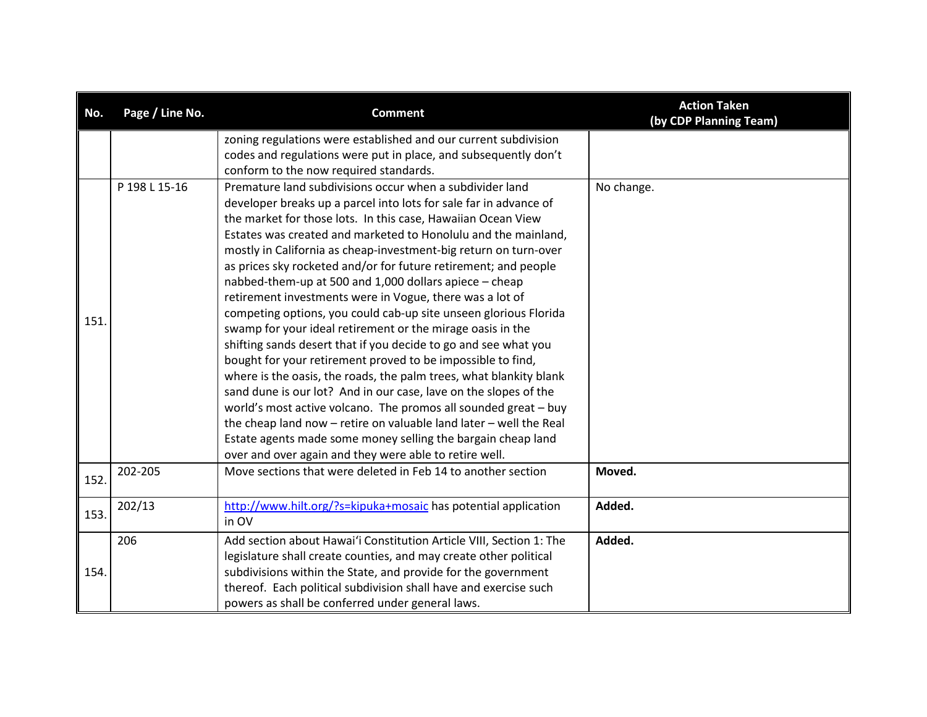| No.  | Page / Line No. | <b>Comment</b>                                                      | <b>Action Taken</b><br>(by CDP Planning Team) |
|------|-----------------|---------------------------------------------------------------------|-----------------------------------------------|
|      |                 | zoning regulations were established and our current subdivision     |                                               |
|      |                 | codes and regulations were put in place, and subsequently don't     |                                               |
|      |                 | conform to the now required standards.                              |                                               |
|      | P 198 L 15-16   | Premature land subdivisions occur when a subdivider land            | No change.                                    |
|      |                 | developer breaks up a parcel into lots for sale far in advance of   |                                               |
|      |                 | the market for those lots. In this case, Hawaiian Ocean View        |                                               |
|      |                 | Estates was created and marketed to Honolulu and the mainland,      |                                               |
|      |                 | mostly in California as cheap-investment-big return on turn-over    |                                               |
|      |                 | as prices sky rocketed and/or for future retirement; and people     |                                               |
|      |                 | nabbed-them-up at 500 and 1,000 dollars apiece - cheap              |                                               |
|      |                 | retirement investments were in Vogue, there was a lot of            |                                               |
| 151. |                 | competing options, you could cab-up site unseen glorious Florida    |                                               |
|      |                 | swamp for your ideal retirement or the mirage oasis in the          |                                               |
|      |                 | shifting sands desert that if you decide to go and see what you     |                                               |
|      |                 | bought for your retirement proved to be impossible to find,         |                                               |
|      |                 | where is the oasis, the roads, the palm trees, what blankity blank  |                                               |
|      |                 | sand dune is our lot? And in our case, lave on the slopes of the    |                                               |
|      |                 | world's most active volcano. The promos all sounded great - buy     |                                               |
|      |                 | the cheap land now - retire on valuable land later - well the Real  |                                               |
|      |                 | Estate agents made some money selling the bargain cheap land        |                                               |
|      |                 | over and over again and they were able to retire well.              |                                               |
| 152. | 202-205         | Move sections that were deleted in Feb 14 to another section        | Moved.                                        |
|      | 202/13          | http://www.hilt.org/?s=kipuka+mosaic has potential application      | Added.                                        |
| 153. |                 | in OV                                                               |                                               |
|      | 206             | Add section about Hawai'i Constitution Article VIII, Section 1: The | Added.                                        |
|      |                 | legislature shall create counties, and may create other political   |                                               |
| 154. |                 | subdivisions within the State, and provide for the government       |                                               |
|      |                 | thereof. Each political subdivision shall have and exercise such    |                                               |
|      |                 | powers as shall be conferred under general laws.                    |                                               |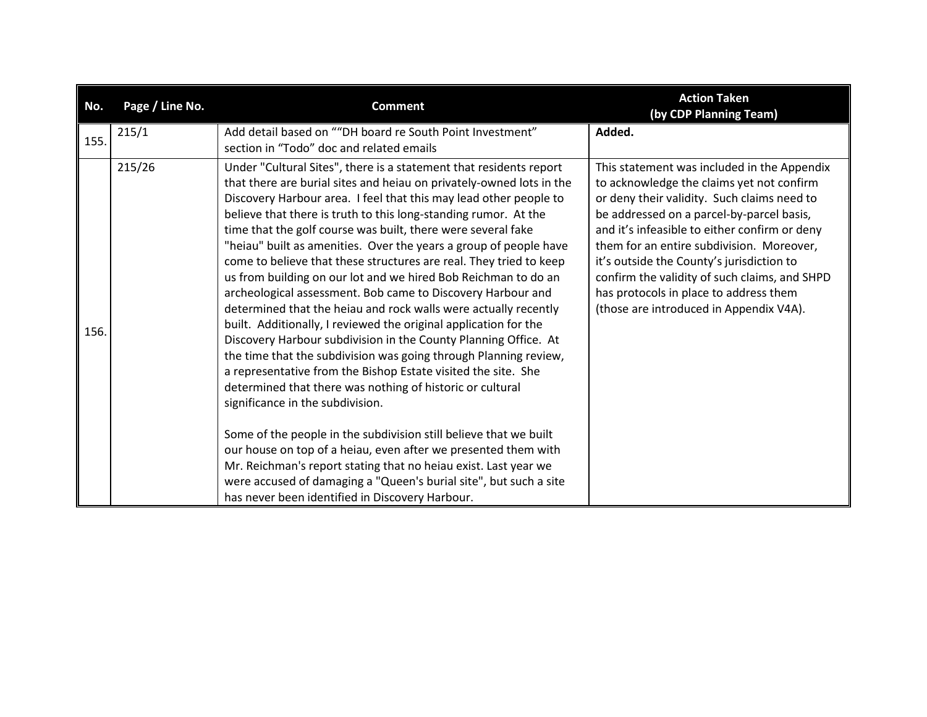| No.  | Page / Line No. | <b>Comment</b>                                                                                                                                                                                                                                                                                                                                                                                                                                                                                                                                                                                                                                                                                                                                                                                                                                                                                                                                                                                                                                                                                                                                                                                                                                                                                                                                                | <b>Action Taken</b><br>(by CDP Planning Team)                                                                                                                                                                                                                                                                                                                                                                                                                         |
|------|-----------------|---------------------------------------------------------------------------------------------------------------------------------------------------------------------------------------------------------------------------------------------------------------------------------------------------------------------------------------------------------------------------------------------------------------------------------------------------------------------------------------------------------------------------------------------------------------------------------------------------------------------------------------------------------------------------------------------------------------------------------------------------------------------------------------------------------------------------------------------------------------------------------------------------------------------------------------------------------------------------------------------------------------------------------------------------------------------------------------------------------------------------------------------------------------------------------------------------------------------------------------------------------------------------------------------------------------------------------------------------------------|-----------------------------------------------------------------------------------------------------------------------------------------------------------------------------------------------------------------------------------------------------------------------------------------------------------------------------------------------------------------------------------------------------------------------------------------------------------------------|
| 155. | 215/1           | Add detail based on ""DH board re South Point Investment"<br>section in "Todo" doc and related emails                                                                                                                                                                                                                                                                                                                                                                                                                                                                                                                                                                                                                                                                                                                                                                                                                                                                                                                                                                                                                                                                                                                                                                                                                                                         | Added.                                                                                                                                                                                                                                                                                                                                                                                                                                                                |
| 156. | 215/26          | Under "Cultural Sites", there is a statement that residents report<br>that there are burial sites and heiau on privately-owned lots in the<br>Discovery Harbour area. I feel that this may lead other people to<br>believe that there is truth to this long-standing rumor. At the<br>time that the golf course was built, there were several fake<br>"heiau" built as amenities. Over the years a group of people have<br>come to believe that these structures are real. They tried to keep<br>us from building on our lot and we hired Bob Reichman to do an<br>archeological assessment. Bob came to Discovery Harbour and<br>determined that the heiau and rock walls were actually recently<br>built. Additionally, I reviewed the original application for the<br>Discovery Harbour subdivision in the County Planning Office. At<br>the time that the subdivision was going through Planning review,<br>a representative from the Bishop Estate visited the site. She<br>determined that there was nothing of historic or cultural<br>significance in the subdivision.<br>Some of the people in the subdivision still believe that we built<br>our house on top of a heiau, even after we presented them with<br>Mr. Reichman's report stating that no heiau exist. Last year we<br>were accused of damaging a "Queen's burial site", but such a site | This statement was included in the Appendix<br>to acknowledge the claims yet not confirm<br>or deny their validity. Such claims need to<br>be addressed on a parcel-by-parcel basis,<br>and it's infeasible to either confirm or deny<br>them for an entire subdivision. Moreover,<br>it's outside the County's jurisdiction to<br>confirm the validity of such claims, and SHPD<br>has protocols in place to address them<br>(those are introduced in Appendix V4A). |
|      |                 | has never been identified in Discovery Harbour.                                                                                                                                                                                                                                                                                                                                                                                                                                                                                                                                                                                                                                                                                                                                                                                                                                                                                                                                                                                                                                                                                                                                                                                                                                                                                                               |                                                                                                                                                                                                                                                                                                                                                                                                                                                                       |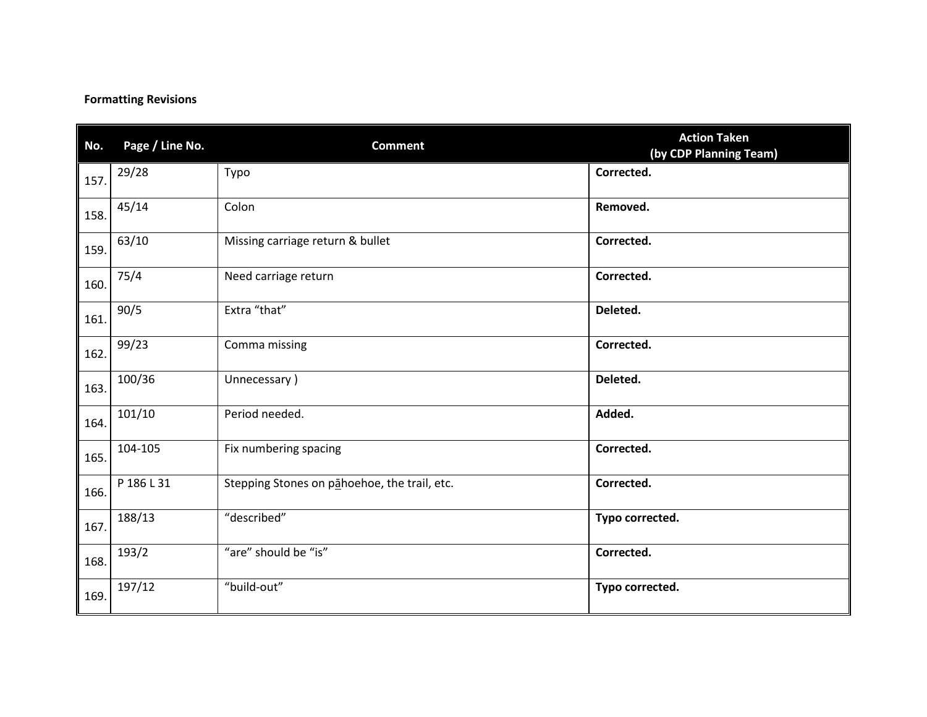### **Formatting Revisions**

| No.  | Page / Line No. | <b>Comment</b>                               | <b>Action Taken</b><br>(by CDP Planning Team) |
|------|-----------------|----------------------------------------------|-----------------------------------------------|
| 157. | 29/28           | Typo                                         | Corrected.                                    |
| 158. | 45/14           | Colon                                        | Removed.                                      |
| 159. | 63/10           | Missing carriage return & bullet             | Corrected.                                    |
| 160. | 75/4            | Need carriage return                         | Corrected.                                    |
| 161. | 90/5            | Extra "that"                                 | Deleted.                                      |
| 162. | 99/23           | Comma missing                                | Corrected.                                    |
| 163. | 100/36          | Unnecessary)                                 | Deleted.                                      |
| 164. | 101/10          | Period needed.                               | Added.                                        |
| 165. | 104-105         | Fix numbering spacing                        | Corrected.                                    |
| 166. | P 186 L 31      | Stepping Stones on pahoehoe, the trail, etc. | Corrected.                                    |
| 167. | 188/13          | "described"                                  | Typo corrected.                               |
| 168. | 193/2           | "are" should be "is"                         | Corrected.                                    |
| 169. | 197/12          | "build-out"                                  | Typo corrected.                               |